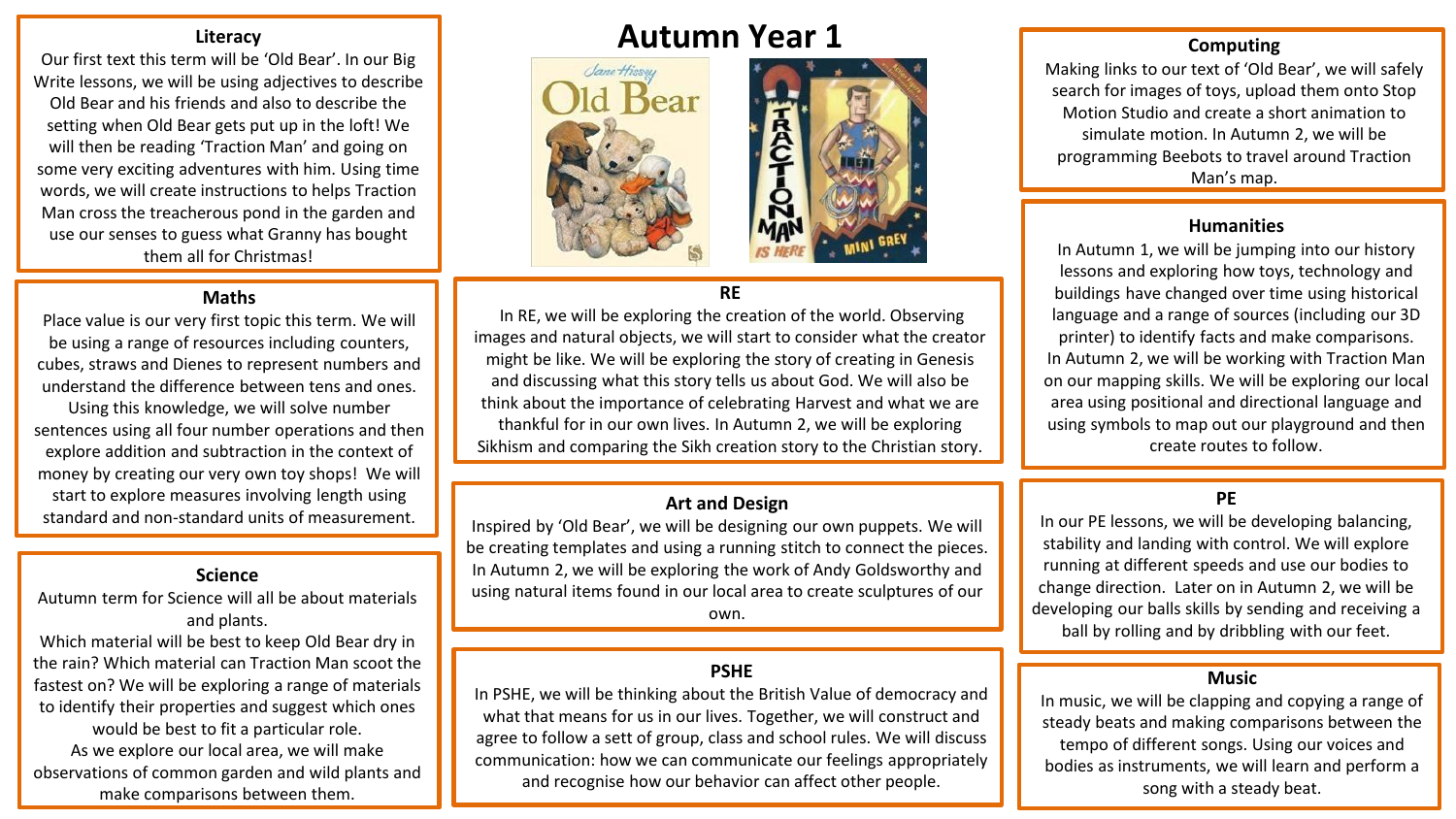Our first text this term will be 'Old Bear'. In our Big Write lessons, we will be using adjectives to describe Old Bear and his friends and also to describe the setting when Old Bear gets put up in the loft! We will then be reading 'Traction Man' and going on some very exciting adventures with him. Using time words, we will create instructions to helps Traction Man cross the treacherous pond in the garden and use our senses to guess what Granny has bought them all for Christmas!

#### **Maths**

Place value is our very first topic this term. We will be using a range of resources including counters, cubes, straws and Dienes to represent numbers and understand the difference between tens and ones. Using this knowledge, we will solve number sentences using all four number operations and then explore addition and subtraction in the context of money by creating our very own toy shops! We will start to explore measures involving length using standard and non-standard units of measurement.

#### **Science**

Autumn term for Science will all be about materials and plants.

Which material will be best to keep Old Bear dry in the rain? Which material can Traction Man scoot the fastest on? We will be exploring a range of materials to identify their properties and suggest which ones would be best to fit a particular role. As we explore our local area, we will make observations of common garden and wild plants and make comparisons between them.

# **Autumn Year 1**





# **RE**

In RE, we will be exploring the creation of the world. Observing images and natural objects, we will start to consider what the creator might be like. We will be exploring the story of creating in Genesis and discussing what this story tells us about God. We will also be think about the importance of celebrating Harvest and what we are thankful for in our own lives. In Autumn 2, we will be exploring Sikhism and comparing the Sikh creation story to the Christian story.

#### **Art and Design**

Inspired by 'Old Bear', we will be designing our own puppets. We will be creating templates and using a running stitch to connect the pieces. In Autumn 2, we will be exploring the work of Andy Goldsworthy and using natural items found in our local area to create sculptures of our own.

# **PSHE**

In PSHE, we will be thinking about the British Value of democracy and what that means for us in our lives. Together, we will construct and agree to follow a sett of group, class and school rules. We will discuss communication: how we can communicate our feelings appropriately and recognise how our behavior can affect other people.

# **Computing**

Making links to our text of 'Old Bear', we will safely search for images of toys, upload them onto Stop Motion Studio and create a short animation to simulate motion. In Autumn 2, we will be programming Beebots to travel around Traction Man's map.

#### **Humanities**

In Autumn 1, we will be jumping into our history lessons and exploring how toys, technology and buildings have changed over time using historical language and a range of sources (including our 3D printer) to identify facts and make comparisons. In Autumn 2, we will be working with Traction Man on our mapping skills. We will be exploring our local area using positional and directional language and using symbols to map out our playground and then create routes to follow.

# **PE**

In our PE lessons, we will be developing balancing, stability and landing with control. We will explore running at different speeds and use our bodies to change direction. Later on in Autumn 2, we will be developing our balls skills by sending and receiving a ball by rolling and by dribbling with our feet.

#### **Music**

In music, we will be clapping and copying a range of steady beats and making comparisons between the tempo of different songs. Using our voices and bodies as instruments, we will learn and perform a song with a steady beat.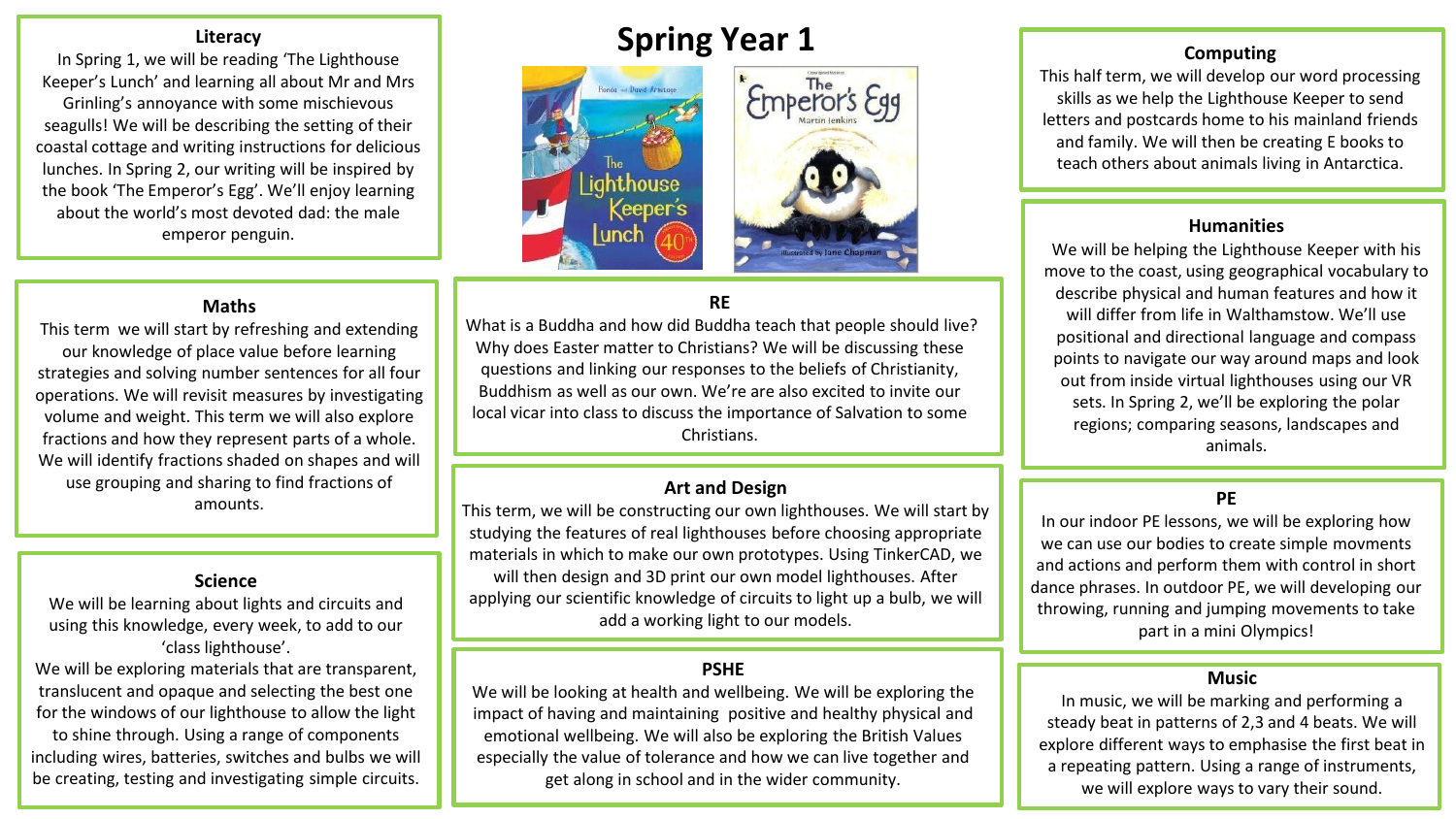In Spring 1, we will be reading 'The Lighthouse Keeper's Lunch' and learning all about Mr and Mrs Grinling's annoyance with some mischievous seagulls! We will be describing the setting of their coastal cottage and writing instructions for delicious lunches. In Spring 2, our writing will be inspired by the book 'The Emperor's Egg'. We'll enjoy learning about the world's most devoted dad: the male emperor penguin. **Humanities** 

# **Spring Year 1**





# **RE**

What is a Buddha and how did Buddha teach that people should live? Why does Easter matter to Christians? We will be discussing these questions and linking our responses to the beliefs of Christianity, Buddhism as well as our own. We're are also excited to invite our local vicar into class to discuss the importance of Salvation to some Christians.

#### **Art and Design**

This term, we will be constructing our own lighthouses. We will start by studying the features of real lighthouses before choosing appropriate materials in which to make our own prototypes. Using TinkerCAD, we will then design and 3D print our own model lighthouses. After applying our scientific knowledge of circuits to light up a bulb, we will add a working light to our models.

# **PSHE**

We will be looking at health and wellbeing. We will be exploring the impact of having and maintaining positive and healthy physical and emotional wellbeing. We will also be exploring the British Values especially the value of tolerance and how we can live together and get along in school and in the wider community.

# **Computing**

This half term, we will develop our word processing skills as we help the Lighthouse Keeper to send letters and postcards home to his mainland friends and family. We will then be creating E books to teach others about animals living in Antarctica.

We will be helping the Lighthouse Keeper with his move to the coast, using geographical vocabulary to describe physical and human features and how it will differ from life in Walthamstow. We'll use positional and directional language and compass points to navigate our way around maps and look out from inside virtual lighthouses using our VR sets. In Spring 2, we'll be exploring the polar regions; comparing seasons, landscapes and animals.

# **PE**

In our indoor PE lessons, we will be exploring how we can use our bodies to create simple movments and actions and perform them with control in short dance phrases. In outdoor PE, we will developing our throwing, running and jumping movements to take part in a mini Olympics!

#### **Music**

In music, we will be marking and performing a steady beat in patterns of 2,3 and 4 beats. We will explore different ways to emphasise the first beat in a repeating pattern. Using a range of instruments, we will explore ways to vary their sound.

#### **Maths**

This term we will start by refreshing and extending our knowledge of place value before learning strategies and solving number sentences for all four operations. We will revisit measures by investigating volume and weight. This term we will also explore fractions and how they represent parts of a whole. We will identify fractions shaded on shapes and will use grouping and sharing to find fractions of amounts.

#### **Science**

We will be learning about lights and circuits and using this knowledge, every week, to add to our 'class lighthouse'.

We will be exploring materials that are transparent, translucent and opaque and selecting the best one for the windows of our lighthouse to allow the light

to shine through. Using a range of components including wires, batteries, switches and bulbs we will be creating, testing and investigating simple circuits.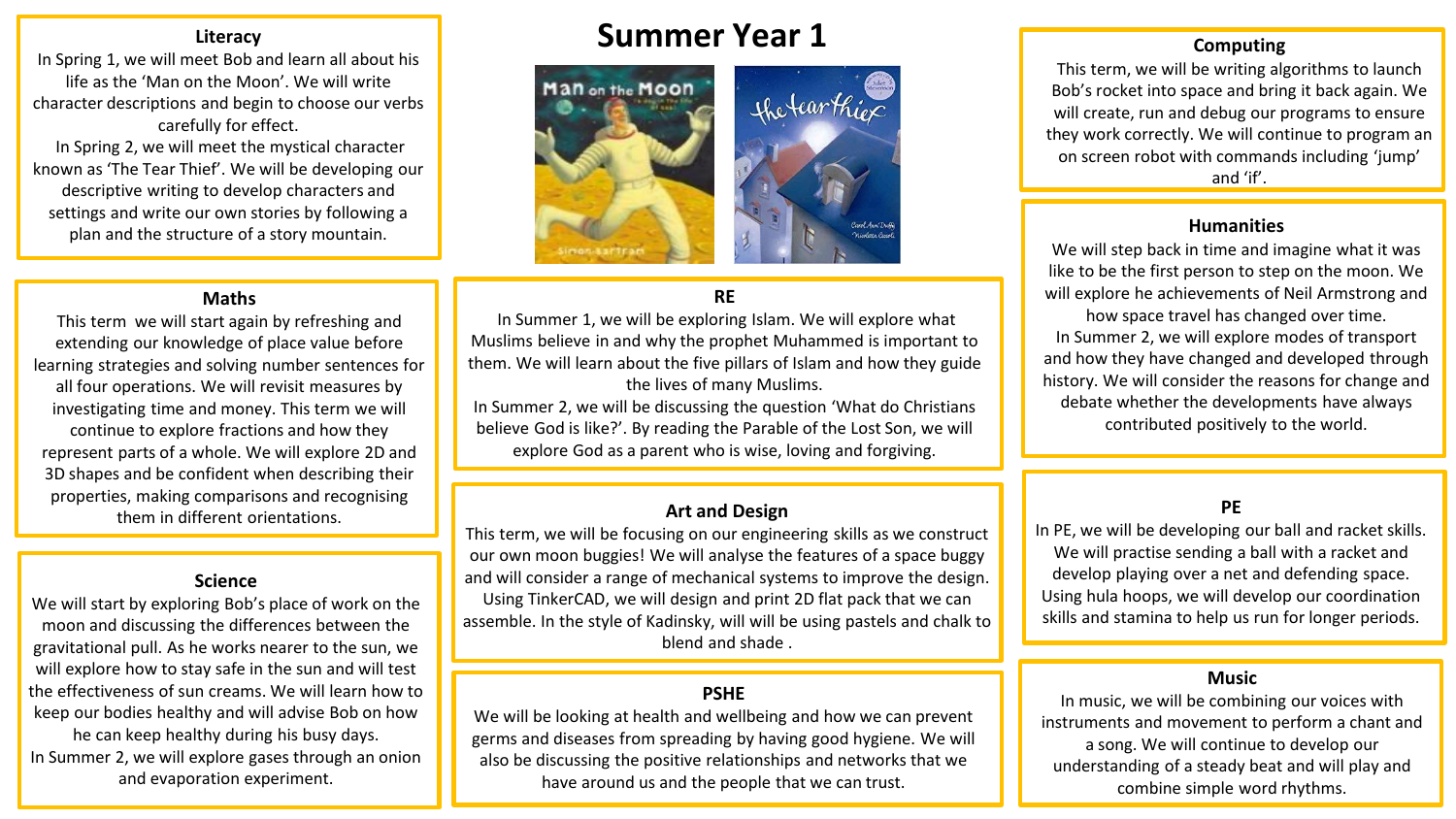In Spring 1, we will meet Bob and learn all about his life as the 'Man on the Moon'. We will write character descriptions and begin to choose our verbs carefully for effect.

In Spring 2, we will meet the mystical character known as 'The Tear Thief'. We will be developing our descriptive writing to develop characters and settings and write our own stories by following a plan and the structure of a story mountain.

### **Maths**

This term we will start again by refreshing and extending our knowledge of place value before learning strategies and solving number sentences for all four operations. We will revisit measures by investigating time and money. This term we will continue to explore fractions and how they represent parts of a whole. We will explore 2D and 3D shapes and be confident when describing their properties, making comparisons and recognising them in different orientations. **Art and Design**

#### **Science**

We will start by exploring Bob's place of work on the moon and discussing the differences between the gravitational pull. As he works nearer to the sun, we will explore how to stay safe in the sun and will test the effectiveness of sun creams. We will learn how to keep our bodies healthy and will advise Bob on how he can keep healthy during his busy days. In Summer 2, we will explore gases through an onion and evaporation experiment.

# **Summer Year 1**



### **RE**

In Summer 1, we will be exploring Islam. We will explore what Muslims believe in and why the prophet Muhammed is important to them. We will learn about the five pillars of Islam and how they guide the lives of many Muslims.

In Summer 2, we will be discussing the question 'What do Christians believe God is like?'. By reading the Parable of the Lost Son, we will explore God as a parent who is wise, loving and forgiving.

This term, we will be focusing on our engineering skills as we construct our own moon buggies! We will analyse the features of a space buggy and will consider a range of mechanical systems to improve the design. Using TinkerCAD, we will design and print 2D flat pack that we can assemble. In the style of Kadinsky, will will be using pastels and chalk to blend and shade .

#### **PSHE**

We will be looking at health and wellbeing and how we can prevent germs and diseases from spreading by having good hygiene. We will also be discussing the positive relationships and networks that we have around us and the people that we can trust.

#### **Computing**

This term, we will be writing algorithms to launch Bob's rocket into space and bring it back again. We will create, run and debug our programs to ensure they work correctly. We will continue to program an on screen robot with commands including 'jump' and 'if'.

We will step back in time and imagine what it was like to be the first person to step on the moon. We will explore he achievements of Neil Armstrong and how space travel has changed over time. In Summer 2, we will explore modes of transport and how they have changed and developed through history. We will consider the reasons for change and debate whether the developments have always contributed positively to the world.

### **PE**

In PE, we will be developing our ball and racket skills. We will practise sending a ball with a racket and develop playing over a net and defending space. Using hula hoops, we will develop our coordination skills and stamina to help us run for longer periods.

#### **Music**

In music, we will be combining our voices with instruments and movement to perform a chant and a song. We will continue to develop our understanding of a steady beat and will play and combine simple word rhythms.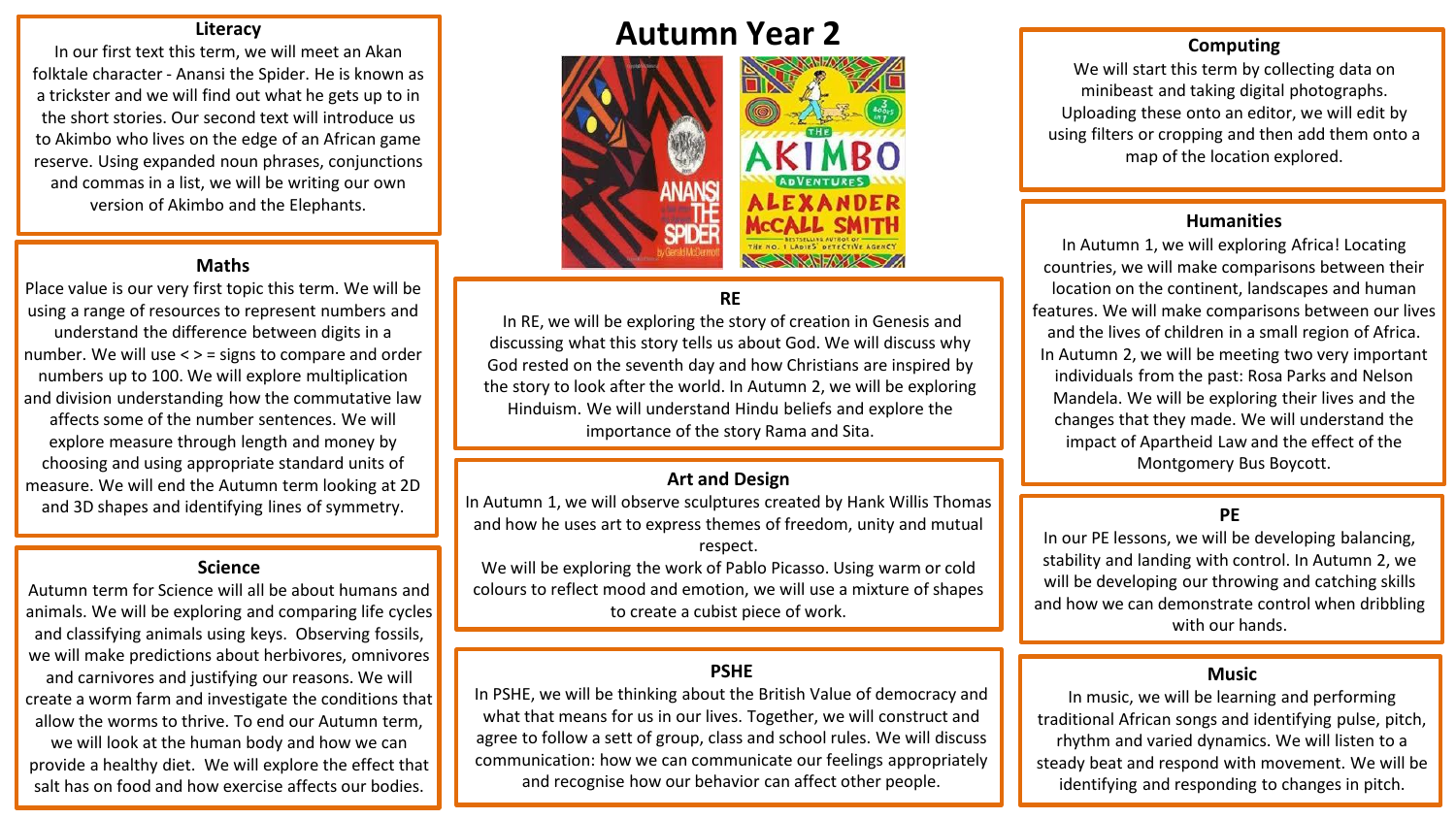In our first text this term, we will meet an Akan folktale character - Anansi the Spider. He is known as a trickster and we will find out what he gets up to in the short stories. Our second text will introduce us to Akimbo who lives on the edge of an African game reserve. Using expanded noun phrases, conjunctions and commas in a list, we will be writing our own version of Akimbo and the Elephants.

#### **Maths**

Place value is our very first topic this term. We will be using a range of resources to represent numbers and understand the difference between digits in a number. We will use < > = signs to compare and order numbers up to 100. We will explore multiplication and division understanding how the commutative law affects some of the number sentences. We will explore measure through length and money by choosing and using appropriate standard units of measure. We will end the Autumn term looking at 2D and 3D shapes and identifying lines of symmetry.

#### **Science**

Autumn term for Science will all be about humans and animals. We will be exploring and comparing life cycles and classifying animals using keys. Observing fossils, we will make predictions about herbivores, omnivores

and carnivores and justifying our reasons. We will create a worm farm and investigate the conditions that allow the worms to thrive. To end our Autumn term,

we will look at the human body and how we can provide a healthy diet. We will explore the effect that salt has on food and how exercise affects our bodies.

# **Autumn Year 2**



# **RE**

In RE, we will be exploring the story of creation in Genesis and discussing what this story tells us about God. We will discuss why God rested on the seventh day and how Christians are inspired by the story to look after the world. In Autumn 2, we will be exploring Hinduism. We will understand Hindu beliefs and explore the importance of the story Rama and Sita.

#### **Art and Design**

In Autumn 1, we will observe sculptures created by Hank Willis Thomas and how he uses art to express themes of freedom, unity and mutual respect.

We will be exploring the work of Pablo Picasso. Using warm or cold colours to reflect mood and emotion, we will use a mixture of shapes to create a cubist piece of work.

#### **PSHE**

In PSHE, we will be thinking about the British Value of democracy and what that means for us in our lives. Together, we will construct and agree to follow a sett of group, class and school rules. We will discuss communication: how we can communicate our feelings appropriately and recognise how our behavior can affect other people.

### **Computing**

We will start this term by collecting data on minibeast and taking digital photographs. Uploading these onto an editor, we will edit by using filters or cropping and then add them onto a map of the location explored.

#### **Humanities**

In Autumn 1, we will exploring Africa! Locating countries, we will make comparisons between their location on the continent, landscapes and human features. We will make comparisons between our lives and the lives of children in a small region of Africa. In Autumn 2, we will be meeting two very important individuals from the past: Rosa Parks and Nelson Mandela. We will be exploring their lives and the changes that they made. We will understand the impact of Apartheid Law and the effect of the Montgomery Bus Boycott.

# **PE**

In our PE lessons, we will be developing balancing, stability and landing with control. In Autumn 2, we will be developing our throwing and catching skills and how we can demonstrate control when dribbling with our hands.

#### **Music**

In music, we will be learning and performing traditional African songs and identifying pulse, pitch, rhythm and varied dynamics. We will listen to a steady beat and respond with movement. We will be identifying and responding to changes in pitch.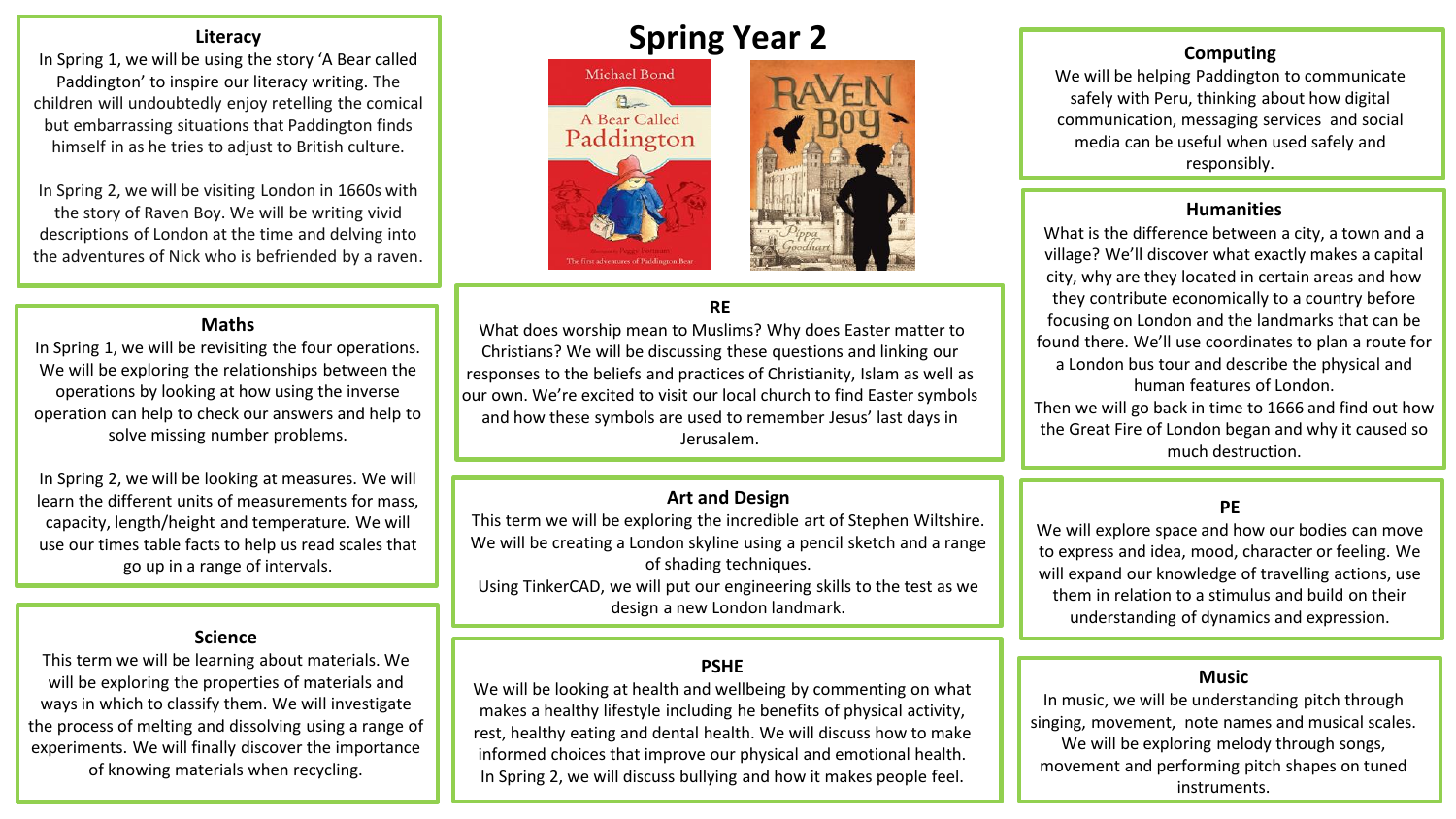In Spring 1, we will be using the story 'A Bear called Paddington' to inspire our literacy writing. The children will undoubtedly enjoy retelling the comical but embarrassing situations that Paddington finds himself in as he tries to adjust to British culture.

In Spring 2, we will be visiting London in 1660s with the story of Raven Boy. We will be writing vivid descriptions of London at the time and delving into the adventures of Nick who is befriended by a raven.

#### **Maths**

In Spring 1, we will be revisiting the four operations. We will be exploring the relationships between the operations by looking at how using the inverse operation can help to check our answers and help to solve missing number problems.

In Spring 2, we will be looking at measures. We will learn the different units of measurements for mass, capacity, length/height and temperature. We will use our times table facts to help us read scales that go up in a range of intervals.

### **Science**

This term we will be learning about materials. We will be exploring the properties of materials and ways in which to classify them. We will investigate the process of melting and dissolving using a range of experiments. We will finally discover the importance of knowing materials when recycling.

# **Spring Year 2**





# **RE**

What does worship mean to Muslims? Why does Easter matter to Christians? We will be discussing these questions and linking our responses to the beliefs and practices of Christianity, Islam as well as our own. We're excited to visit our local church to find Easter symbols and how these symbols are used to remember Jesus' last days in Jerusalem.

### **Art and Design**

This term we will be exploring the incredible art of Stephen Wiltshire. We will be creating a London skyline using a pencil sketch and a range of shading techniques. Using TinkerCAD, we will put our engineering skills to the test as we design a new London landmark.

# **PSHE**

We will be looking at health and wellbeing by commenting on what makes a healthy lifestyle including he benefits of physical activity, rest, healthy eating and dental health. We will discuss how to make informed choices that improve our physical and emotional health. In Spring 2, we will discuss bullying and how it makes people feel.

# **Computing**

We will be helping Paddington to communicate safely with Peru, thinking about how digital communication, messaging services and social media can be useful when used safely and responsibly.

#### **Humanities**

What is the difference between a city, a town and a village? We'll discover what exactly makes a capital city, why are they located in certain areas and how they contribute economically to a country before focusing on London and the landmarks that can be found there. We'll use coordinates to plan a route for a London bus tour and describe the physical and human features of London.

Then we will go back in time to 1666 and find out how the Great Fire of London began and why it caused so much destruction.

# **PE**

We will explore space and how our bodies can move to express and idea, mood, character or feeling. We will expand our knowledge of travelling actions, use them in relation to a stimulus and build on their understanding of dynamics and expression.

#### **Music**

In music, we will be understanding pitch through singing, movement, note names and musical scales. We will be exploring melody through songs, movement and performing pitch shapes on tuned instruments.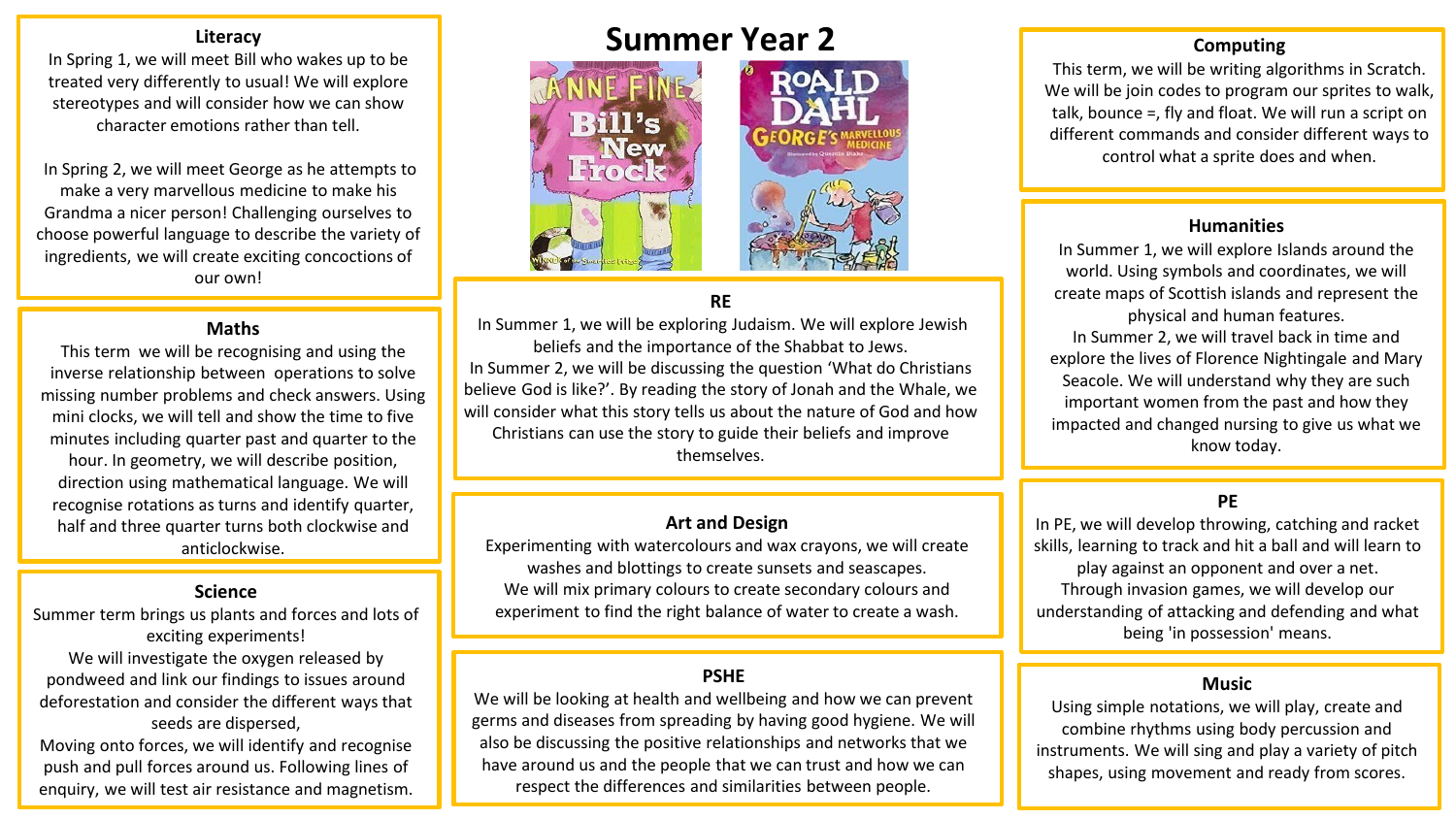In Spring 1, we will meet Bill who wakes up to be treated very differently to usual! We will explore stereotypes and will consider how we can show character emotions rather than tell.

In Spring 2, we will meet George as he attempts to make a very marvellous medicine to make his Grandma a nicer person! Challenging ourselves to choose powerful language to describe the variety of ingredients, we will create exciting concoctions of our own!

#### **Maths**

This term we will be recognising and using the inverse relationship between operations to solve missing number problems and check answers. Using mini clocks, we will tell and show the time to five minutes including quarter past and quarter to the hour. In geometry, we will describe position, direction using mathematical language. We will recognise rotations as turns and identify quarter, half and three quarter turns both clockwise and anticlockwise.

#### **Science**

Summer term brings us plants and forces and lots of exciting experiments! We will investigate the oxygen released by pondweed and link our findings to issues around deforestation and consider the different ways that seeds are dispersed, Moving onto forces, we will identify and recognise

push and pull forces around us. Following lines of enquiry, we will test air resistance and magnetism.

# **Summer Year 2**



# **RE**

In Summer 1, we will be exploring Judaism. We will explore Jewish beliefs and the importance of the Shabbat to Jews. In Summer 2, we will be discussing the question 'What do Christians believe God is like?'. By reading the story of Jonah and the Whale, we will consider what this story tells us about the nature of God and how Christians can use the story to guide their beliefs and improve themselves.

## **Art and Design**

Experimenting with watercolours and wax crayons, we will create washes and blottings to create sunsets and seascapes. We will mix primary colours to create secondary colours and experiment to find the right balance of water to create a wash.

### **PSHE**

We will be looking at health and wellbeing and how we can prevent germs and diseases from spreading by having good hygiene. We will also be discussing the positive relationships and networks that we have around us and the people that we can trust and how we can respect the differences and similarities between people.

#### **Computing**

This term, we will be writing algorithms in Scratch. We will be join codes to program our sprites to walk, talk, bounce =, fly and float. We will run a script on different commands and consider different ways to control what a sprite does and when.

#### **Humanities**

In Summer 1, we will explore Islands around the world. Using symbols and coordinates, we will create maps of Scottish islands and represent the physical and human features. In Summer 2, we will travel back in time and explore the lives of Florence Nightingale and Mary Seacole. We will understand why they are such important women from the past and how they impacted and changed nursing to give us what we know today.

# **PE**

In PE, we will develop throwing, catching and racket skills, learning to track and hit a ball and will learn to play against an opponent and over a net. Through invasion games, we will develop our understanding of attacking and defending and what being 'in possession' means.

### **Music**

Using simple notations, we will play, create and combine rhythms using body percussion and instruments. We will sing and play a variety of pitch shapes, using movement and ready from scores.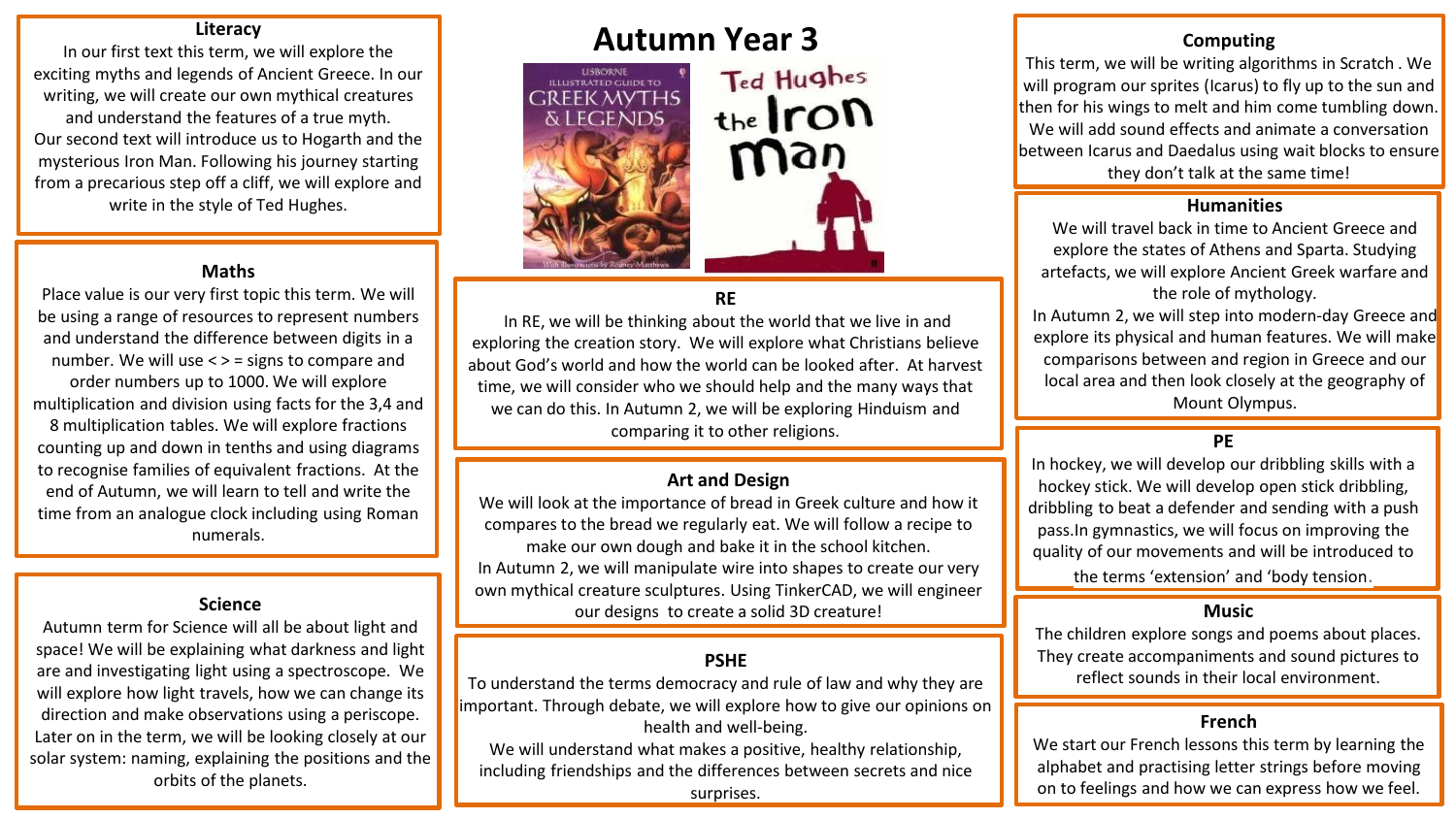In our first text this term, we will explore the exciting myths and legends of Ancient Greece. In our writing, we will create our own mythical creatures and understand the features of a true myth. Our second text will introduce us to Hogarth and the mysterious Iron Man. Following his journey starting from a precarious step off a cliff, we will explore and write in the style of Ted Hughes. **Humanities** 

#### **Maths**

Place value is our very first topic this term. We will be using a range of resources to represent numbers and understand the difference between digits in a number. We will use < > = signs to compare and order numbers up to 1000. We will explore multiplication and division using facts for the 3,4 and 8 multiplication tables. We will explore fractions counting up and down in tenths and using diagrams to recognise families of equivalent fractions. At the end of Autumn, we will learn to tell and write the time from an analogue clock including using Roman numerals.

Autumn term for Science will all be about light and space! We will be explaining what darkness and light are and investigating light using a spectroscope. We will explore how light travels, how we can change its direction and make observations using a periscope. Later on in the term, we will be looking closely at our solar system: naming, explaining the positions and the orbits of the planets.



# **RE**

In RE, we will be thinking about the world that we live in and exploring the creation story. We will explore what Christians believe about God's world and how the world can be looked after. At harvest time, we will consider who we should help and the many ways that we can do this. In Autumn 2, we will be exploring Hinduism and comparing it to other religions.

#### **Art and Design**

We will look at the importance of bread in Greek culture and how it compares to the bread we regularly eat. We will follow a recipe to make our own dough and bake it in the school kitchen. In Autumn 2, we will manipulate wire into shapes to create our very own mythical creature sculptures. Using TinkerCAD, we will engineer **Science Science Science Science Science Science Science Science Science Science Science Science Science Science Science Science Science Science Science Science Science Science S** 

## **PSHE**

To understand the terms democracy and rule of law and why they are important. Through debate, we will explore how to give our opinions on health and well-being.

We will understand what makes a positive, healthy relationship, including friendships and the differences between secrets and nice surprises.

#### **Computing**

This term, we will be writing algorithms in Scratch . We will program our sprites (Icarus) to fly up to the sun and then for his wings to melt and him come tumbling down. We will add sound effects and animate a conversation between Icarus and Daedalus using wait blocks to ensure they don't talk at the same time!

We will travel back in time to Ancient Greece and explore the states of Athens and Sparta. Studying artefacts, we will explore Ancient Greek warfare and the role of mythology.

In Autumn 2, we will step into modern-day Greece and explore its physical and human features. We will make comparisons between and region in Greece and our local area and then look closely at the geography of Mount Olympus.

# **PE**

In hockey, we will develop our dribbling skills with a hockey stick. We will develop open stick dribbling, dribbling to beat a defender and sending with a push pass.In gymnastics, we will focus on improving the quality of our movements and will be introduced to the terms 'extension' and 'body tension.

#### **Music**

The children explore songs and poems about places. They create accompaniments and sound pictures to reflect sounds in their local environment.

#### **French**

We start our French lessons this term by learning the alphabet and practising letter strings before moving on to feelings and how we can express how we feel.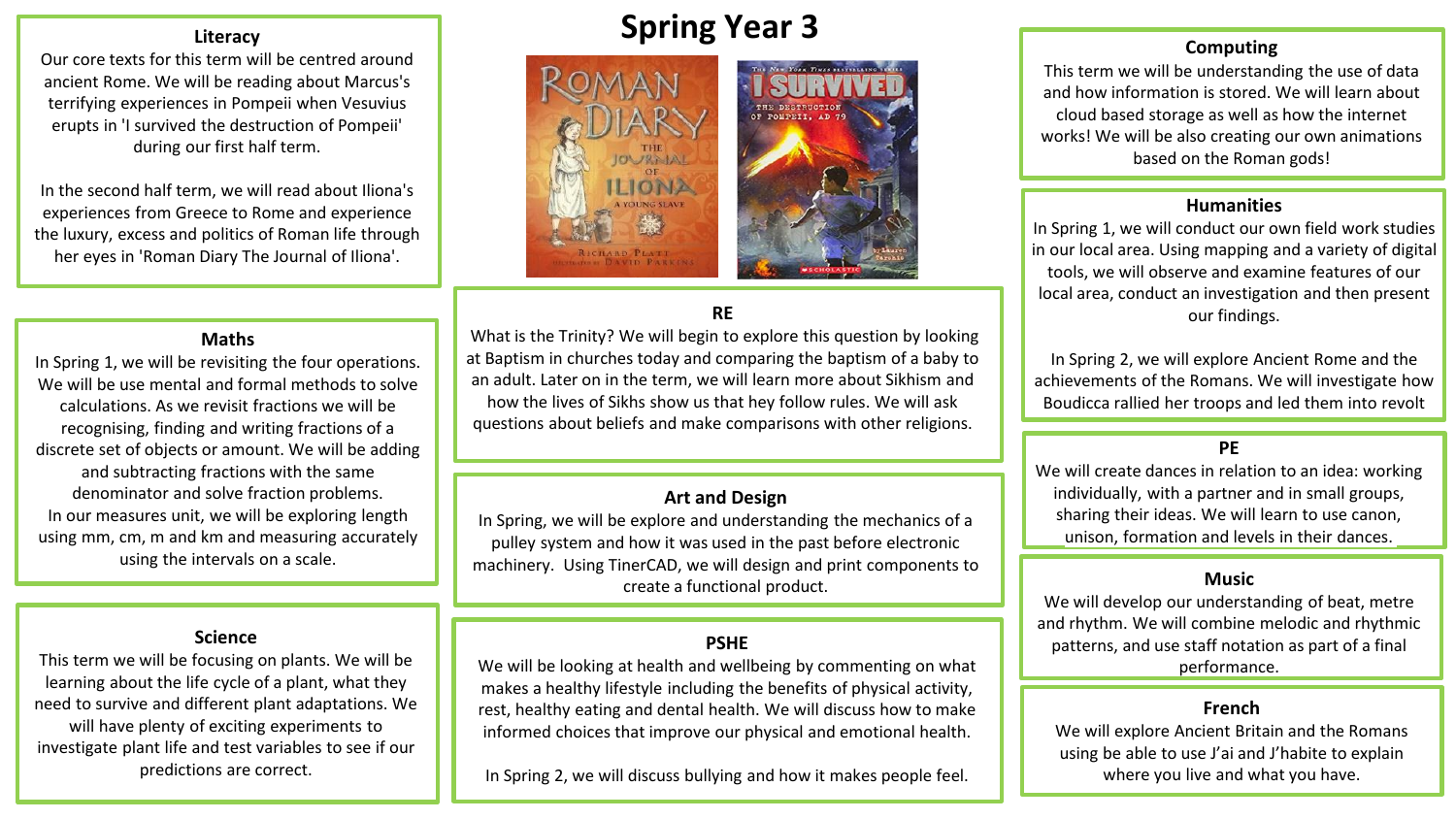Our core texts for this term will be centred around ancient Rome. We will be reading about Marcus's terrifying experiences in Pompeii when Vesuvius erupts in 'I survived the destruction of Pompeii' during our first half term.

In the second half term, we will read about Iliona's experiences from Greece to Rome and experience the luxury, excess and politics of Roman life through her eyes in 'Roman Diary The Journal of Iliona'.

#### **Maths**

In Spring 1, we will be revisiting the four operations. We will be use mental and formal methods to solve calculations. As we revisit fractions we will be recognising, finding and writing fractions of a discrete set of objects or amount. We will be adding and subtracting fractions with the same denominator and solve fraction problems. In our measures unit, we will be exploring length using mm, cm, m and km and measuring accurately using the intervals on a scale.

#### **Science**

This term we will be focusing on plants. We will be learning about the life cycle of a plant, what they need to survive and different plant adaptations. We will have plenty of exciting experiments to investigate plant life and test variables to see if our predictions are correct.

# **Spring Year 3**



# **RE**

What is the Trinity? We will begin to explore this question by looking at Baptism in churches today and comparing the baptism of a baby to an adult. Later on in the term, we will learn more about Sikhism and how the lives of Sikhs show us that hey follow rules. We will ask questions about beliefs and make comparisons with other religions.

## **Art and Design**

In Spring, we will be explore and understanding the mechanics of a pulley system and how it was used in the past before electronic machinery. Using TinerCAD, we will design and print components to create a functional product.

#### **PSHE**

We will be looking at health and wellbeing by commenting on what makes a healthy lifestyle including the benefits of physical activity, rest, healthy eating and dental health. We will discuss how to make informed choices that improve our physical and emotional health.

In Spring 2, we will discuss bullying and how it makes people feel.

#### **Computing**

This term we will be understanding the use of data and how information is stored. We will learn about cloud based storage as well as how the internet works! We will be also creating our own animations based on the Roman gods!

### **Humanities**

In Spring 1, we will conduct our own field work studies in our local area. Using mapping and a variety of digital tools, we will observe and examine features of our local area, conduct an investigation and then present our findings.

In Spring 2, we will explore Ancient Rome and the achievements of the Romans. We will investigate how Boudicca rallied her troops and led them into revolt

### **PE**

We will create dances in relation to an idea: working individually, with a partner and in small groups, sharing their ideas. We will learn to use canon, unison, formation and levels in their dances.

#### **Music**

We will develop our understanding of beat, metre and rhythm. We will combine melodic and rhythmic patterns, and use staff notation as part of a final performance.

#### **French**

We will explore Ancient Britain and the Romans using be able to use J'ai and J'habite to explain where you live and what you have.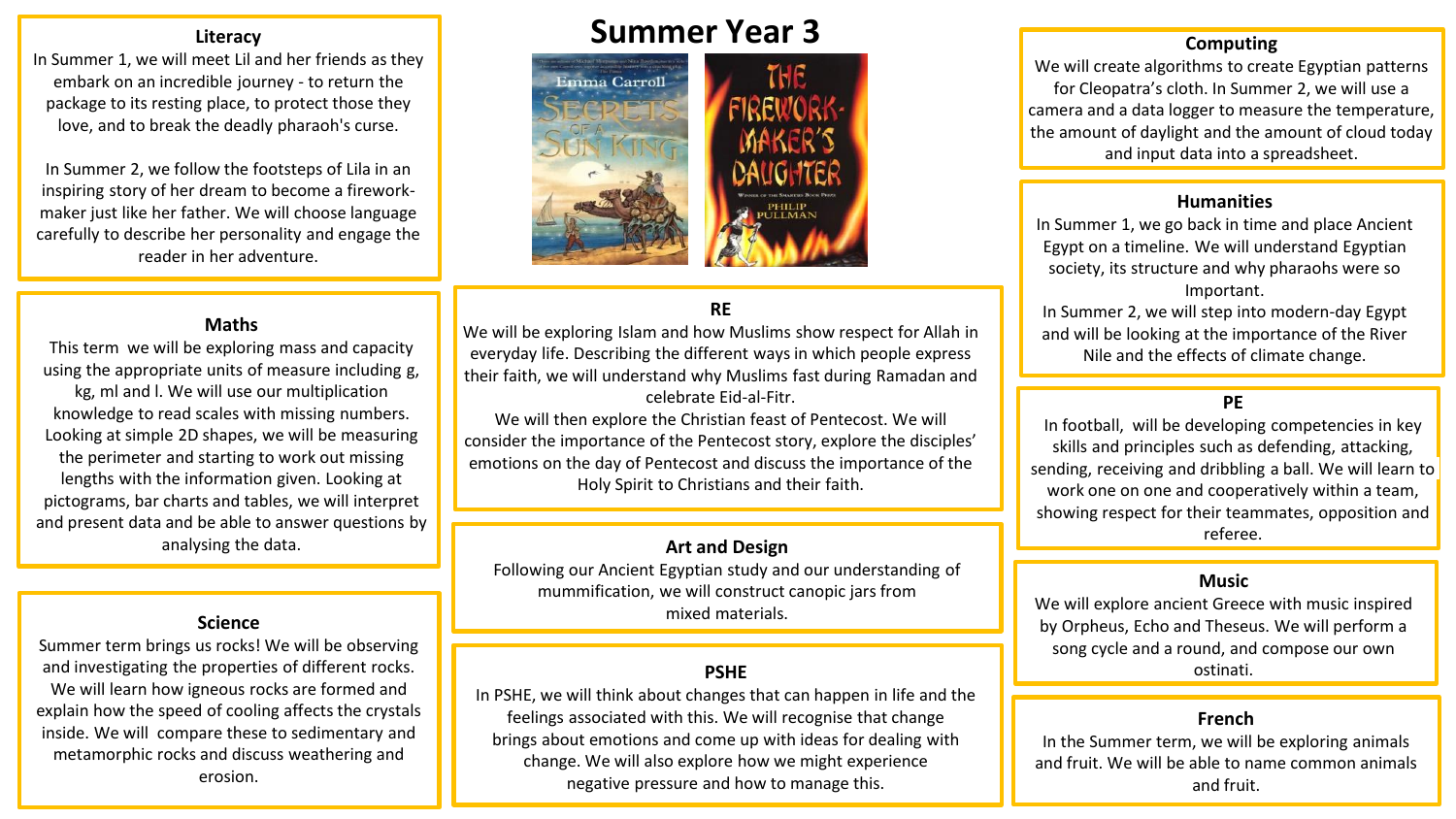In Summer 1, we will meet Lil and her friends as they embark on an incredible journey - to return the package to its resting place, to protect those they love, and to break the deadly pharaoh's curse.

In Summer 2, we follow the footsteps of Lila in an inspiring story of her dream to become a fireworkmaker just like her father. We will choose language carefully to describe her personality and engage the reader in her adventure.

# **Summer Year 3**



# **RE**

We will be exploring Islam and how Muslims show respect for Allah in everyday life. Describing the different ways in which people express their faith, we will understand why Muslims fast during Ramadan and celebrate Eid-al-Fitr.

We will then explore the Christian feast of Pentecost. We will consider the importance of the Pentecost story, explore the disciples' emotions on the day of Pentecost and discuss the importance of the Holy Spirit to Christians and their faith.

Following our Ancient Egyptian study and our understanding of mummification, we will construct canopic jars from **Science Science Science Science Science Science SCIENCE SCIENCE SCIENCE SCIENCE SCIENCE SCIENCE** 

### **PSHE**

In PSHE, we will think about changes that can happen in life and the feelings associated with this. We will recognise that change brings about emotions and come up with ideas for dealing with change. We will also explore how we might experience negative pressure and how to manage this.

## **Computing**

We will create algorithms to create Egyptian patterns for Cleopatra's cloth. In Summer 2, we will use a camera and a data logger to measure the temperature, the amount of daylight and the amount of cloud today and input data into a spreadsheet.

#### **Humanities**

In Summer 1, we go back in time and place Ancient Egypt on a timeline. We will understand Egyptian society, its structure and why pharaohs were so Important.

In Summer 2, we will step into modern-day Egypt and will be looking at the importance of the River Nile and the effects of climate change.

# **PE**

In football, will be developing competencies in key skills and principles such as defending, attacking, sending, receiving and dribbling a ball. We will learn to work one on one and cooperatively within a team, showing respect for their teammates, opposition and referee.

#### **Music**

We will explore ancient Greece with music inspired by Orpheus, Echo and Theseus. We will perform a song cycle and a round, and compose our own ostinati.

#### **French**

In the Summer term, we will be exploring animals and fruit. We will be able to name common animals and fruit.

#### **Maths**

This term we will be exploring mass and capacity using the appropriate units of measure including g, kg, ml and l. We will use our multiplication knowledge to read scales with missing numbers. Looking at simple 2D shapes, we will be measuring the perimeter and starting to work out missing lengths with the information given. Looking at pictograms, bar charts and tables, we will interpret and present data and be able to answer questions by analysing the data. **Art and Design** analysing the data.

Summer term brings us rocks! We will be observing and investigating the properties of different rocks. We will learn how igneous rocks are formed and explain how the speed of cooling affects the crystals inside. We will compare these to sedimentary and metamorphic rocks and discuss weathering and erosion.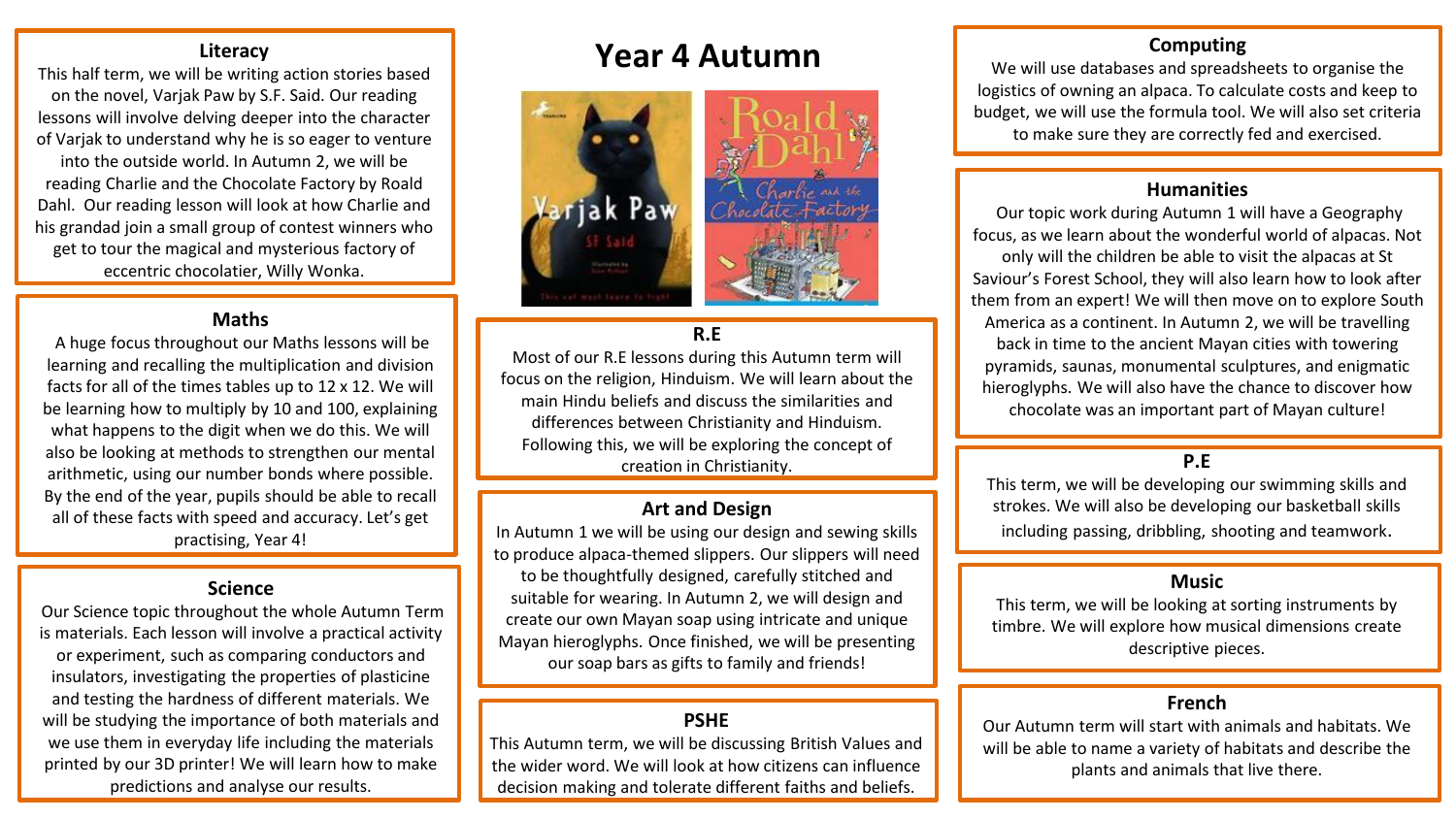This half term, we will be writing action stories based on the novel, Varjak Paw by S.F. Said. Our reading lessons will involve delving deeper into the character of Varjak to understand why he is so eager to venture into the outside world. In Autumn 2, we will be reading Charlie and the Chocolate Factory by Roald Dahl. Our reading lesson will look at how Charlie and his grandad join a small group of contest winners who get to tour the magical and mysterious factory of eccentric chocolatier, Willy Wonka.

## **Maths**

A huge focus throughout our Maths lessons will be learning and recalling the multiplication and division facts for all of the times tables up to 12 x 12. We will be learning how to multiply by 10 and 100, explaining what happens to the digit when we do this. We will also be looking at methods to strengthen our mental arithmetic, using our number bonds where possible. By the end of the year, pupils should be able to recall all of these facts with speed and accuracy. Let's get practising, Year 4!

#### **Science**

Our Science topic throughout the whole Autumn Term is materials. Each lesson will involve a practical activity or experiment, such as comparing conductors and insulators, investigating the properties of plasticine and testing the hardness of different materials. We will be studying the importance of both materials and we use them in everyday life including the materials printed by our 3D printer! We will learn how to make predictions and analyse our results.

# **Year 4 Autumn**



#### **R.E**

Most of our R.E lessons during this Autumn term will focus on the religion, Hinduism. We will learn about the main Hindu beliefs and discuss the similarities and differences between Christianity and Hinduism. Following this, we will be exploring the concept of creation in Christianity.

## **Art and Design**

In Autumn 1 we will be using our design and sewing skills to produce alpaca-themed slippers. Our slippers will need to be thoughtfully designed, carefully stitched and suitable for wearing. In Autumn 2, we will design and create our own Mayan soap using intricate and unique Mayan hieroglyphs. Once finished, we will be presenting our soap bars as gifts to family and friends!

#### **PSHE**

This Autumn term, we will be discussing British Values and the wider word. We will look at how citizens can influence decision making and tolerate different faiths and beliefs.

#### **Computing**

We will use databases and spreadsheets to organise the logistics of owning an alpaca. To calculate costs and keep to budget, we will use the formula tool. We will also set criteria to make sure they are correctly fed and exercised.

#### **Humanities**

Our topic work during Autumn 1 will have a Geography focus, as we learn about the wonderful world of alpacas. Not only will the children be able to visit the alpacas at St Saviour's Forest School, they will also learn how to look after them from an expert! We will then move on to explore South America as a continent. In Autumn 2, we will be travelling back in time to the ancient Mayan cities with towering pyramids, saunas, monumental sculptures, and enigmatic hieroglyphs. We will also have the chance to discover how chocolate was an important part of Mayan culture!

# **P.E**

This term, we will be developing our swimming skills and strokes. We will also be developing our basketball skills including passing, dribbling, shooting and teamwork.

#### **Music**

This term, we will be looking at sorting instruments by timbre. We will explore how musical dimensions create descriptive pieces.

#### **French**

Our Autumn term will start with animals and habitats. We will be able to name a variety of habitats and describe the plants and animals that live there.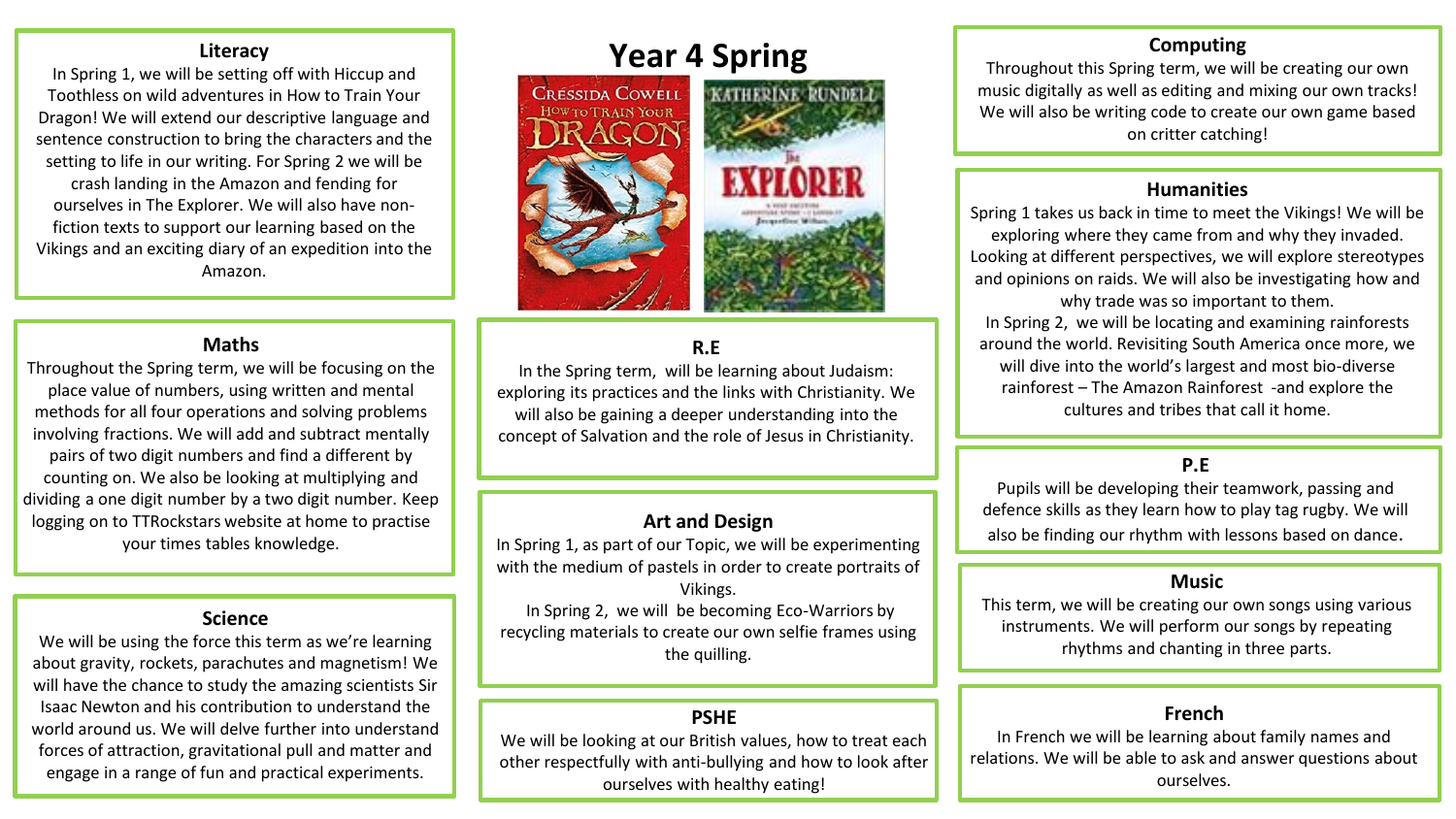In Spring 1, we will be setting off with Hiccup and Toothless on wild adventures in How to Train Your Dragon! We will extend our descriptive language and sentence construction to bring the characters and the setting to life in our writing. For Spring 2 we will be crash landing in the Amazon and fending for ourselves in The Explorer. We will also have nonfiction texts to support our learning based on the Vikings and an exciting diary of an expedition into the Amazon.

#### **Maths**

Throughout the Spring term, we will be focusing on the place value of numbers, using written and mental methods for all four operations and solving problems involving fractions. We will add and subtract mentally pairs of two digit numbers and find a different by counting on. We also be looking at multiplying and dividing a one digit number by a two digit number. Keep logging on to TTRockstars website at home to practise your times tables knowledge.

### **Science**

We will be using the force this term as we're learning about gravity, rockets, parachutes and magnetism! We will have the chance to study the amazing scientists Sir Isaac Newton and his contribution to understand the world around us. We will delve further into understand forces of attraction, gravitational pull and matter and engage in a range of fun and practical experiments.

# **Year 4 Spring**



# **R.E**

In the Spring term, will be learning about Judaism: exploring its practices and the links with Christianity. We will also be gaining a deeper understanding into the concept of Salvation and the role of Jesus in Christianity.

# **Art and Design**

In Spring 1, as part of our Topic, we will be experimenting with the medium of pastels in order to create portraits of Vikings.

In Spring 2, we will be becoming Eco-Warriors by recycling materials to create our own selfie frames using the quilling.

## **PSHE**

We will be looking at our British values, how to treat each other respectfully with anti-bullying and how to look after ourselves with healthy eating!

# **Computing**

Throughout this Spring term, we will be creating our own music digitally as well as editing and mixing our own tracks! We will also be writing code to create our own game based on critter catching!

#### **Humanities**

Spring 1 takes us back in time to meet the Vikings! We will be exploring where they came from and why they invaded. Looking at different perspectives, we will explore stereotypes and opinions on raids. We will also be investigating how and why trade was so important to them. In Spring 2, we will be locating and examining rainforests around the world. Revisiting South America once more, we will dive into the world's largest and most bio-diverse rainforest – The Amazon Rainforest -and explore the cultures and tribes that call it home.

# **P.E**

Pupils will be developing their teamwork, passing and defence skills as they learn how to play tag rugby. We will also be finding our rhythm with lessons based on dance.

### **Music**

This term, we will be creating our own songs using various instruments. We will perform our songs by repeating rhythms and chanting in three parts.

#### **French**

In French we will be learning about family names and relations. We will be able to ask and answer questions about ourselves.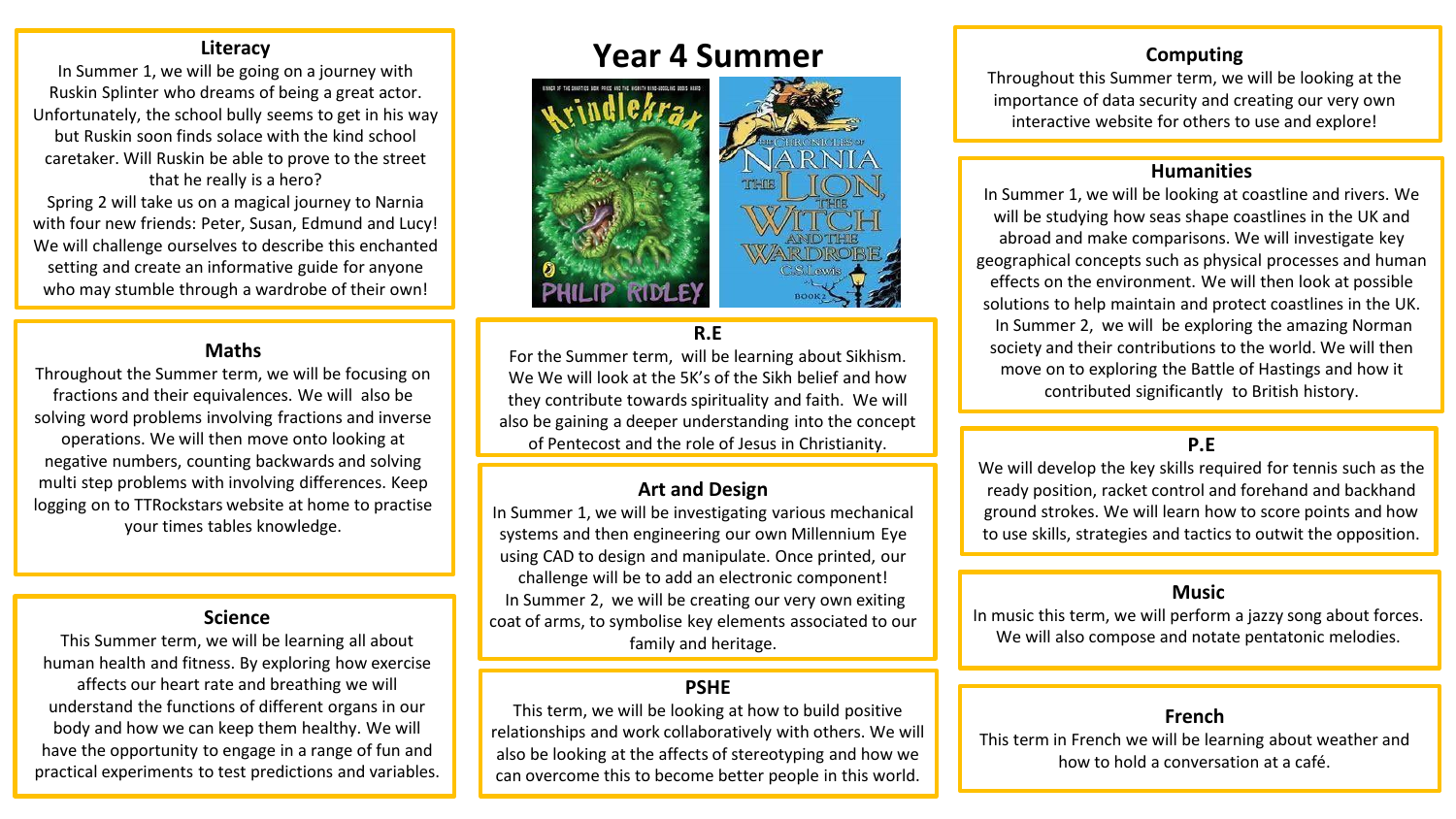In Summer 1, we will be going on a journey with Ruskin Splinter who dreams of being a great actor. Unfortunately, the school bully seems to get in his way but Ruskin soon finds solace with the kind school caretaker. Will Ruskin be able to prove to the street that he really is a hero? Spring 2 will take us on a magical journey to Narnia

with four new friends: Peter, Susan, Edmund and Lucy! We will challenge ourselves to describe this enchanted setting and create an informative guide for anyone who may stumble through a wardrobe of their own!

#### **Maths**

Throughout the Summer term, we will be focusing on fractions and their equivalences. We will also be solving word problems involving fractions and inverse operations. We will then move onto looking at negative numbers, counting backwards and solving multi step problems with involving differences. Keep logging on to TTRockstars website at home to practise your times tables knowledge.

### **Science**

This Summer term, we will be learning all about human health and fitness. By exploring how exercise affects our heart rate and breathing we will understand the functions of different organs in our body and how we can keep them healthy. We will have the opportunity to engage in a range of fun and practical experiments to test predictions and variables.

# **Year 4 Summer**



#### **R.E**

For the Summer term, will be learning about Sikhism. We We will look at the 5K's of the Sikh belief and how they contribute towards spirituality and faith. We will also be gaining a deeper understanding into the concept of Pentecost and the role of Jesus in Christianity.

## **Art and Design**

In Summer 1, we will be investigating various mechanical systems and then engineering our own Millennium Eye using CAD to design and manipulate. Once printed, our challenge will be to add an electronic component! In Summer 2, we will be creating our very own exiting coat of arms, to symbolise key elements associated to our family and heritage.

# **PSHE**

This term, we will be looking at how to build positive relationships and work collaboratively with others. We will also be looking at the affects of stereotyping and how we can overcome this to become better people in this world.

# **Computing**

Throughout this Summer term, we will be looking at the importance of data security and creating our very own interactive website for others to use and explore!

#### **Humanities**

In Summer 1, we will be looking at coastline and rivers. We will be studying how seas shape coastlines in the UK and abroad and make comparisons. We will investigate key geographical concepts such as physical processes and human effects on the environment. We will then look at possible solutions to help maintain and protect coastlines in the UK. In Summer 2, we will be exploring the amazing Norman society and their contributions to the world. We will then move on to exploring the Battle of Hastings and how it contributed significantly to British history.

# **P.E**

We will develop the key skills required for tennis such as the ready position, racket control and forehand and backhand ground strokes. We will learn how to score points and how to use skills, strategies and tactics to outwit the opposition.

#### **Music**

In music this term, we will perform a jazzy song about forces. We will also compose and notate pentatonic melodies.

#### **French**

This term in French we will be learning about weather and how to hold a conversation at a café.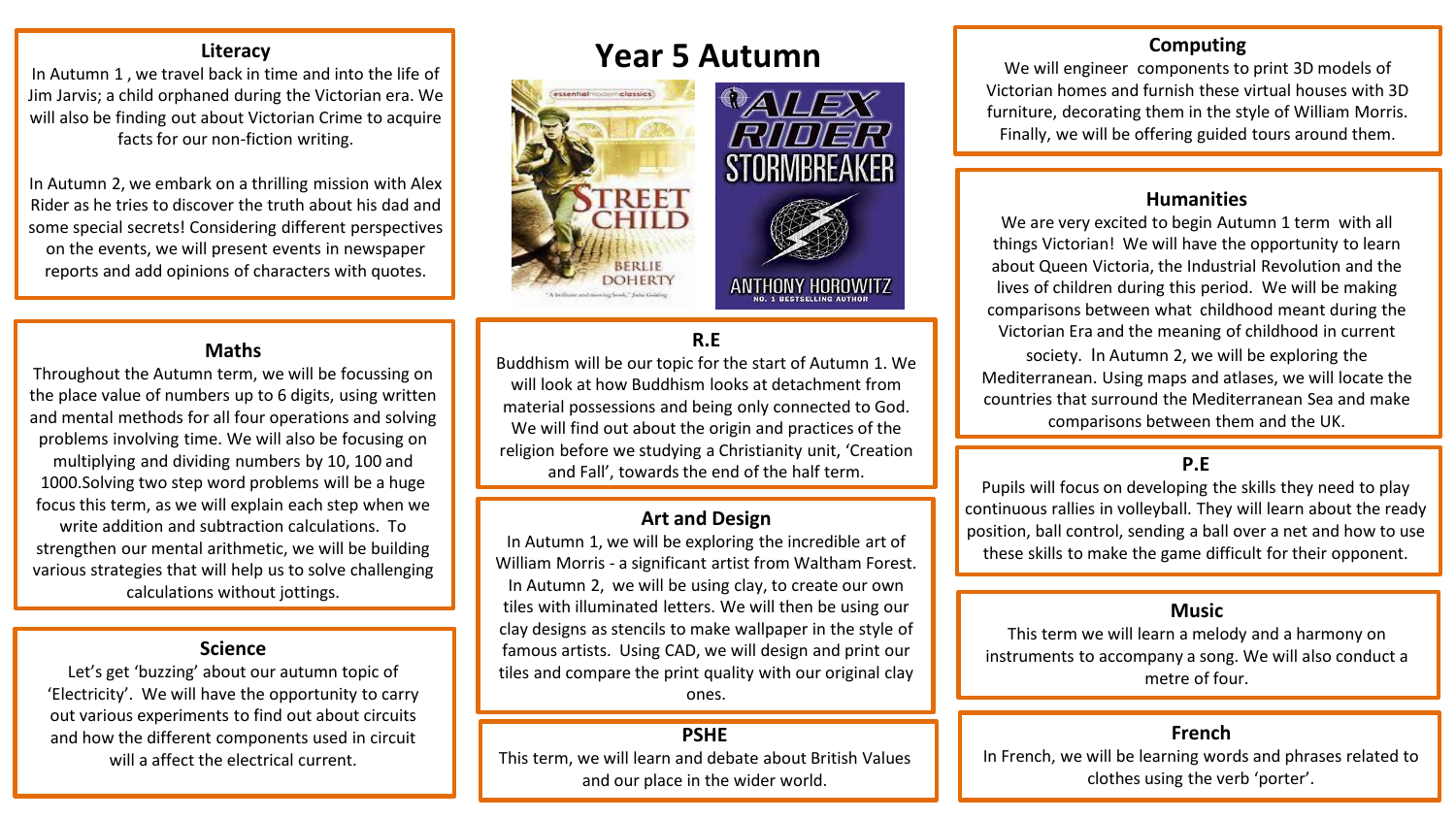In Autumn 1 , we travel back in time and into the life of Jim Jarvis; a child orphaned during the Victorian era. We will also be finding out about Victorian Crime to acquire facts for our non-fiction writing.

In Autumn 2, we embark on a thrilling mission with Alex Rider as he tries to discover the truth about his dad and some special secrets! Considering different perspectives on the events, we will present events in newspaper reports and add opinions of characters with quotes.

#### **Maths**

Throughout the Autumn term, we will be focussing on the place value of numbers up to 6 digits, using written and mental methods for all four operations and solving problems involving time. We will also be focusing on multiplying and dividing numbers by 10, 100 and 1000.Solving two step word problems will be a huge focus this term, as we will explain each step when we write addition and subtraction calculations. To strengthen our mental arithmetic, we will be building various strategies that will help us to solve challenging calculations without jottings.

#### **Science**

Let's get 'buzzing' about our autumn topic of 'Electricity'. We will have the opportunity to carry out various experiments to find out about circuits and how the different components used in circuit will a affect the electrical current.

# **Year 5 Autumn**



## **R.E**

Buddhism will be our topic for the start of Autumn 1. We will look at how Buddhism looks at detachment from material possessions and being only connected to God. We will find out about the origin and practices of the religion before we studying a Christianity unit, 'Creation and Fall', towards the end of the half term.

#### **Art and Design**

In Autumn 1, we will be exploring the incredible art of William Morris - a significant artist from Waltham Forest. In Autumn 2, we will be using clay, to create our own tiles with illuminated letters. We will then be using our clay designs as stencils to make wallpaper in the style of famous artists. Using CAD, we will design and print our tiles and compare the print quality with our original clay ones.

#### **PSHE**

This term, we will learn and debate about British Values and our place in the wider world.

## **Computing**

We will engineer components to print 3D models of Victorian homes and furnish these virtual houses with 3D furniture, decorating them in the style of William Morris. Finally, we will be offering guided tours around them.

#### **Humanities**

We are very excited to begin Autumn 1 term with all things Victorian! We will have the opportunity to learn about Queen Victoria, the Industrial Revolution and the lives of children during this period. We will be making comparisons between what childhood meant during the Victorian Era and the meaning of childhood in current

society. In Autumn 2, we will be exploring the Mediterranean. Using maps and atlases, we will locate the countries that surround the Mediterranean Sea and make comparisons between them and the UK.

## **P.E**

Pupils will focus on developing the skills they need to play continuous rallies in volleyball. They will learn about the ready position, ball control, sending a ball over a net and how to use these skills to make the game difficult for their opponent.

#### **Music**

This term we will learn a melody and a harmony on instruments to accompany a song. We will also conduct a metre of four.

#### **French**

In French, we will be learning words and phrases related to clothes using the verb 'porter'.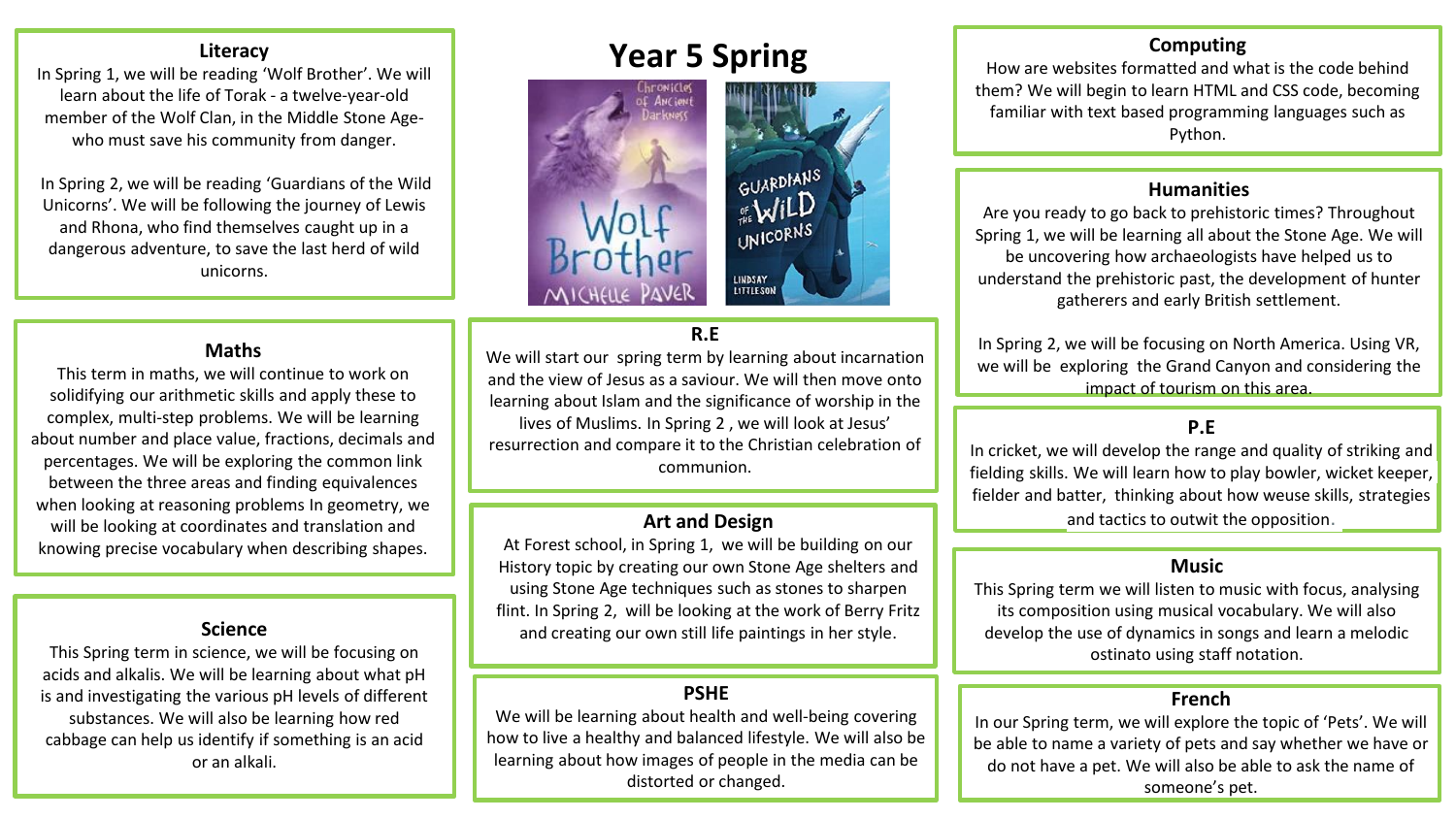In Spring 1, we will be reading 'Wolf Brother'. We will learn about the life of Torak - a twelve-year-old member of the Wolf Clan, in the Middle Stone Agewho must save his community from danger.

In Spring 2, we will be reading 'Guardians of the Wild Unicorns'. We will be following the journey of Lewis and Rhona, who find themselves caught up in a dangerous adventure, to save the last herd of wild unicorns.

### **Maths**

This term in maths, we will continue to work on solidifying our arithmetic skills and apply these to complex, multi-step problems. We will be learning about number and place value, fractions, decimals and percentages. We will be exploring the common link between the three areas and finding equivalences when looking at reasoning problems In geometry, we will be looking at coordinates and translation and knowing precise vocabulary when describing shapes.

This Spring term in science, we will be focusing on acids and alkalis. We will be learning about what pH is and investigating the various pH levels of different substances. We will also be learning how red cabbage can help us identify if something is an acid or an alkali.

# **Year 5 Spring**



## **R.E**

We will start our spring term by learning about incarnation and the view of Jesus as a saviour. We will then move onto learning about Islam and the significance of worship in the lives of Muslims. In Spring 2 , we will look at Jesus' resurrection and compare it to the Christian celebration of communion.

### **Art and Design**

At Forest school, in Spring 1, we will be building on our History topic by creating our own Stone Age shelters and using Stone Age techniques such as stones to sharpen flint. In Spring 2, will be looking at the work of Berry Fritz **Science and creating our own still life paintings in her style.** 

# **PSHE**

We will be learning about health and well-being covering how to live a healthy and balanced lifestyle. We will also be learning about how images of people in the media can be distorted or changed.

# **Computing**

How are websites formatted and what is the code behind them? We will begin to learn HTML and CSS code, becoming familiar with text based programming languages such as Python.

#### **Humanities**

Are you ready to go back to prehistoric times? Throughout Spring 1, we will be learning all about the Stone Age. We will be uncovering how archaeologists have helped us to understand the prehistoric past, the development of hunter gatherers and early British settlement.

In Spring 2, we will be focusing on North America. Using VR, we will be exploring the Grand Canyon and considering the impact of tourism on this area.

# **P.E**

In cricket, we will develop the range and quality of striking and fielding skills. We will learn how to play bowler, wicket keeper, fielder and batter, thinking about how weuse skills, strategies and tactics to outwit the opposition.

## **Music**

This Spring term we will listen to music with focus, analysing its composition using musical vocabulary. We will also develop the use of dynamics in songs and learn a melodic ostinato using staff notation.

## **French**

In our Spring term, we will explore the topic of 'Pets'. We will be able to name a variety of pets and say whether we have or do not have a pet. We will also be able to ask the name of someone's pet.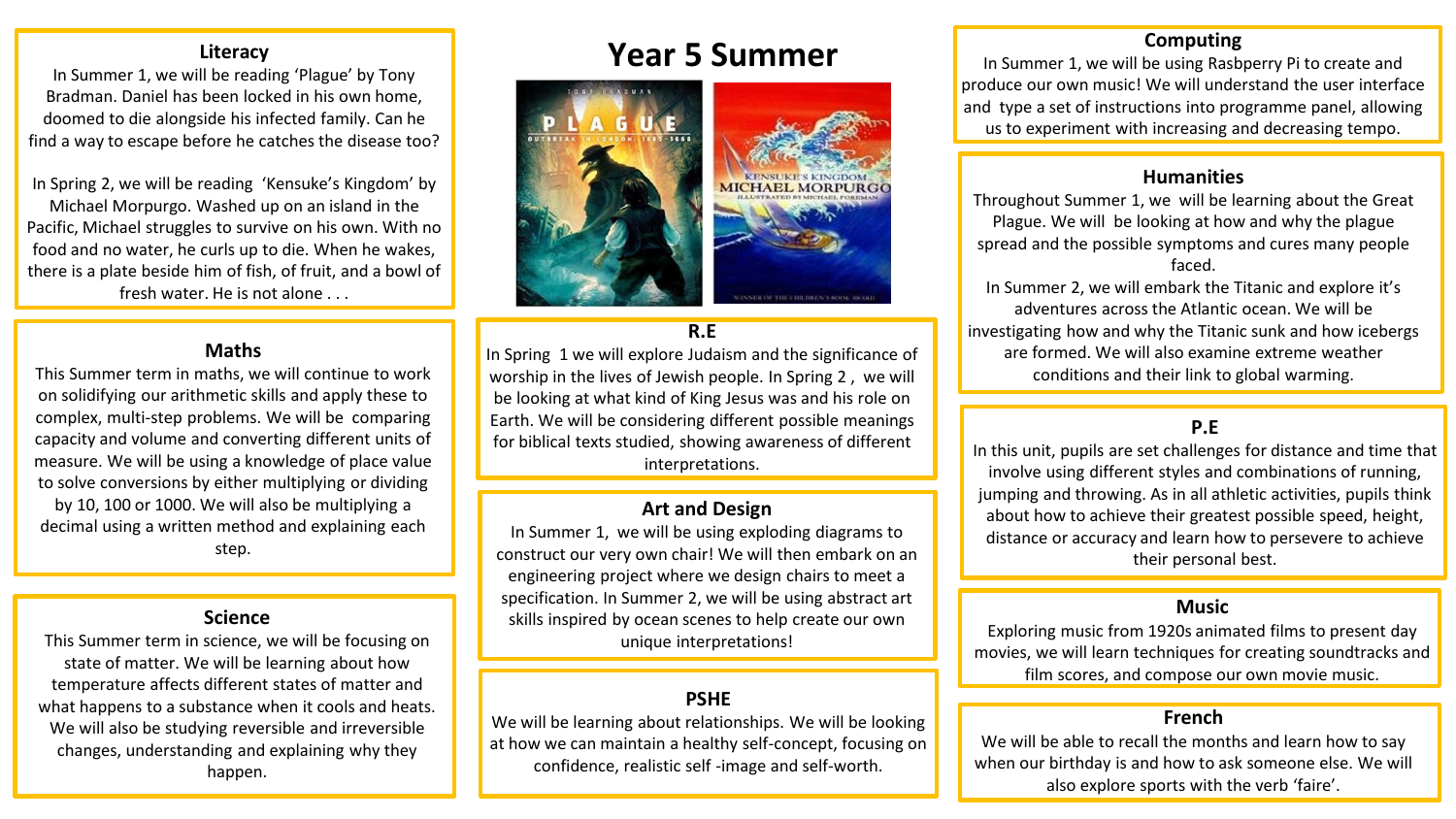In Summer 1, we will be reading 'Plague' by Tony Bradman. Daniel has been locked in his own home, doomed to die alongside his infected family. Can he find a way to escape before he catches the disease too?

In Spring 2, we will be reading 'Kensuke's Kingdom' by Michael Morpurgo. Washed up on an island in the Pacific, Michael struggles to survive on his own. With no food and no water, he curls up to die. When he wakes, there is a plate beside him of fish, of fruit, and a bowl of fresh water. He is not alone . . .

#### **Maths**

This Summer term in maths, we will continue to work on solidifying our arithmetic skills and apply these to complex, multi-step problems. We will be comparing capacity and volume and converting different units of measure. We will be using a knowledge of place value to solve conversions by either multiplying or dividing by 10, 100 or 1000. We will also be multiplying a decimal using a written method and explaining each step.

#### **Science**

This Summer term in science, we will be focusing on state of matter. We will be learning about how temperature affects different states of matter and what happens to a substance when it cools and heats. We will also be studying reversible and irreversible changes, understanding and explaining why they happen.

# **Year 5 Summer**



#### **R.E**

In Spring 1 we will explore Judaism and the significance of worship in the lives of Jewish people. In Spring 2 , we will be looking at what kind of King Jesus was and his role on Earth. We will be considering different possible meanings for biblical texts studied, showing awareness of different interpretations.

## **Art and Design**

In Summer 1, we will be using exploding diagrams to construct our very own chair! We will then embark on an engineering project where we design chairs to meet a specification. In Summer 2, we will be using abstract art skills inspired by ocean scenes to help create our own unique interpretations!

# **PSHE**

We will be learning about relationships. We will be looking at how we can maintain a healthy self-concept, focusing on confidence, realistic self -image and self-worth.

# **Computing**

In Summer 1, we will be using Rasbperry Pi to create and produce our own music! We will understand the user interface and type a set of instructions into programme panel, allowing us to experiment with increasing and decreasing tempo.

### **Humanities**

Throughout Summer 1, we will be learning about the Great Plague. We will be looking at how and why the plague spread and the possible symptoms and cures many people faced.

In Summer 2, we will embark the Titanic and explore it's adventures across the Atlantic ocean. We will be investigating how and why the Titanic sunk and how icebergs are formed. We will also examine extreme weather conditions and their link to global warming.

# **P.E**

In this unit, pupils are set challenges for distance and time that involve using different styles and combinations of running, jumping and throwing. As in all athletic activities, pupils think about how to achieve their greatest possible speed, height, distance or accuracy and learn how to persevere to achieve their personal best.

#### **Music**

Exploring music from 1920s animated films to present day movies, we will learn techniques for creating soundtracks and film scores, and compose our own movie music.

#### **French**

We will be able to recall the months and learn how to say when our birthday is and how to ask someone else. We will also explore sports with the verb 'faire'.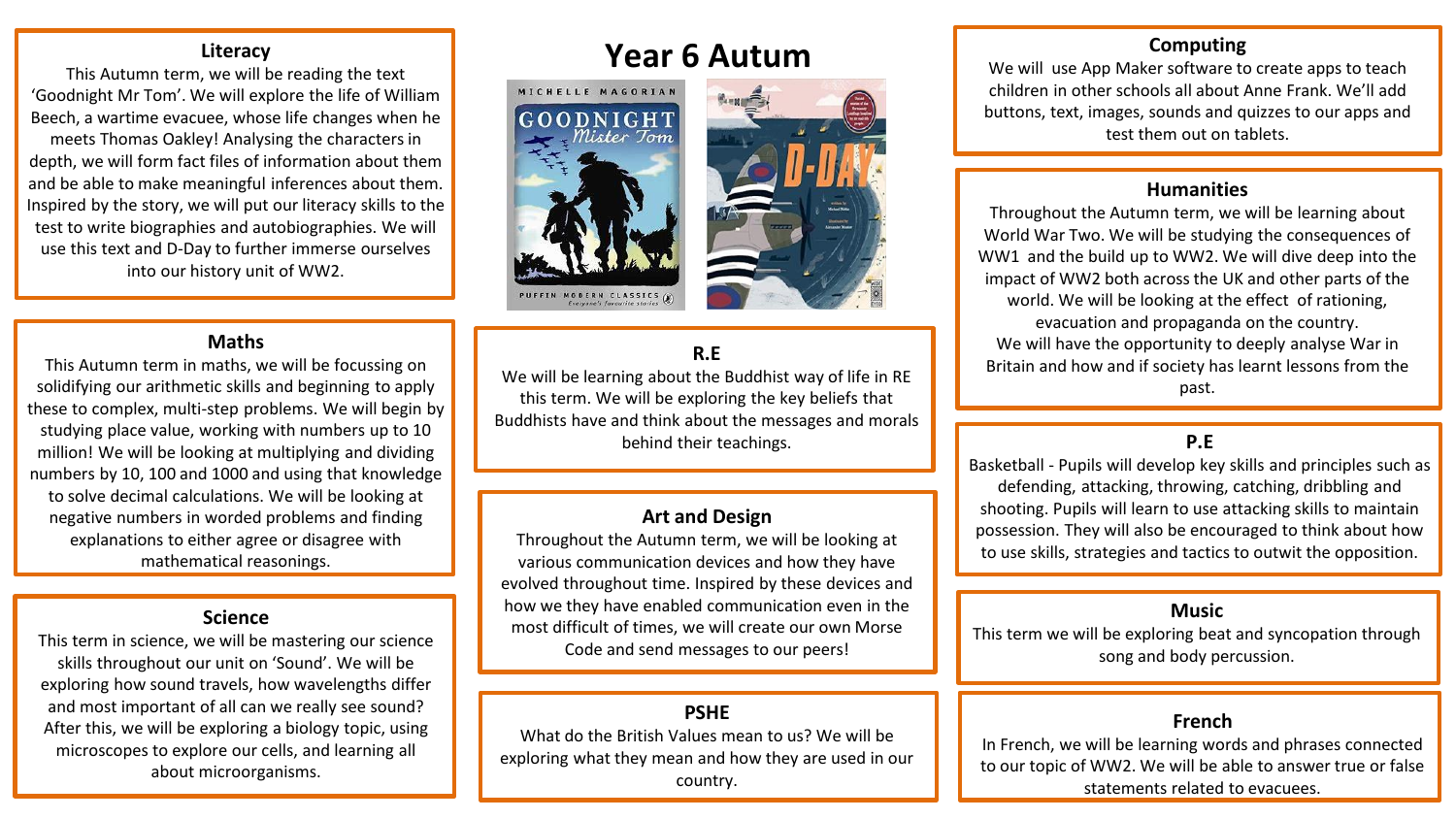This Autumn term, we will be reading the text 'Goodnight Mr Tom'. We will explore the life of William Beech, a wartime evacuee, whose life changes when he meets Thomas Oakley! Analysing the characters in depth, we will form fact files of information about them and be able to make meaningful inferences about them. Inspired by the story, we will put our literacy skills to the test to write biographies and autobiographies. We will use this text and D-Day to further immerse ourselves into our history unit of WW2.

#### **Maths**

This Autumn term in maths, we will be focussing on solidifying our arithmetic skills and beginning to apply these to complex, multi-step problems. We will begin by studying place value, working with numbers up to 10 million! We will be looking at multiplying and dividing numbers by 10, 100 and 1000 and using that knowledge to solve decimal calculations. We will be looking at negative numbers in worded problems and finding explanations to either agree or disagree with mathematical reasonings.

#### **Science**

This term in science, we will be mastering our science skills throughout our unit on 'Sound'. We will be exploring how sound travels, how wavelengths differ and most important of all can we really see sound? After this, we will be exploring a biology topic, using microscopes to explore our cells, and learning all about microorganisms.

# **Year 6 Autum**





# **R.E**

We will be learning about the Buddhist way of life in RE this term. We will be exploring the key beliefs that Buddhists have and think about the messages and morals behind their teachings.

#### **Art and Design**

Throughout the Autumn term, we will be looking at various communication devices and how they have evolved throughout time. Inspired by these devices and how we they have enabled communication even in the most difficult of times, we will create our own Morse Code and send messages to our peers!

# **PSHE**

What do the British Values mean to us? We will be exploring what they mean and how they are used in our country.

# **Computing**

We will use App Maker software to create apps to teach children in other schools all about Anne Frank. We'll add buttons, text, images, sounds and quizzes to our apps and test them out on tablets.

#### **Humanities**

Throughout the Autumn term, we will be learning about World War Two. We will be studying the consequences of WW1 and the build up to WW2. We will dive deep into the impact of WW2 both across the UK and other parts of the world. We will be looking at the effect of rationing, evacuation and propaganda on the country. We will have the opportunity to deeply analyse War in Britain and how and if society has learnt lessons from the past.

# **P.E**

Basketball - Pupils will develop key skills and principles such as defending, attacking, throwing, catching, dribbling and shooting. Pupils will learn to use attacking skills to maintain possession. They will also be encouraged to think about how to use skills, strategies and tactics to outwit the opposition.

#### **Music**

This term we will be exploring beat and syncopation through song and body percussion.

#### **French**

In French, we will be learning words and phrases connected to our topic of WW2. We will be able to answer true or false statements related to evacuees.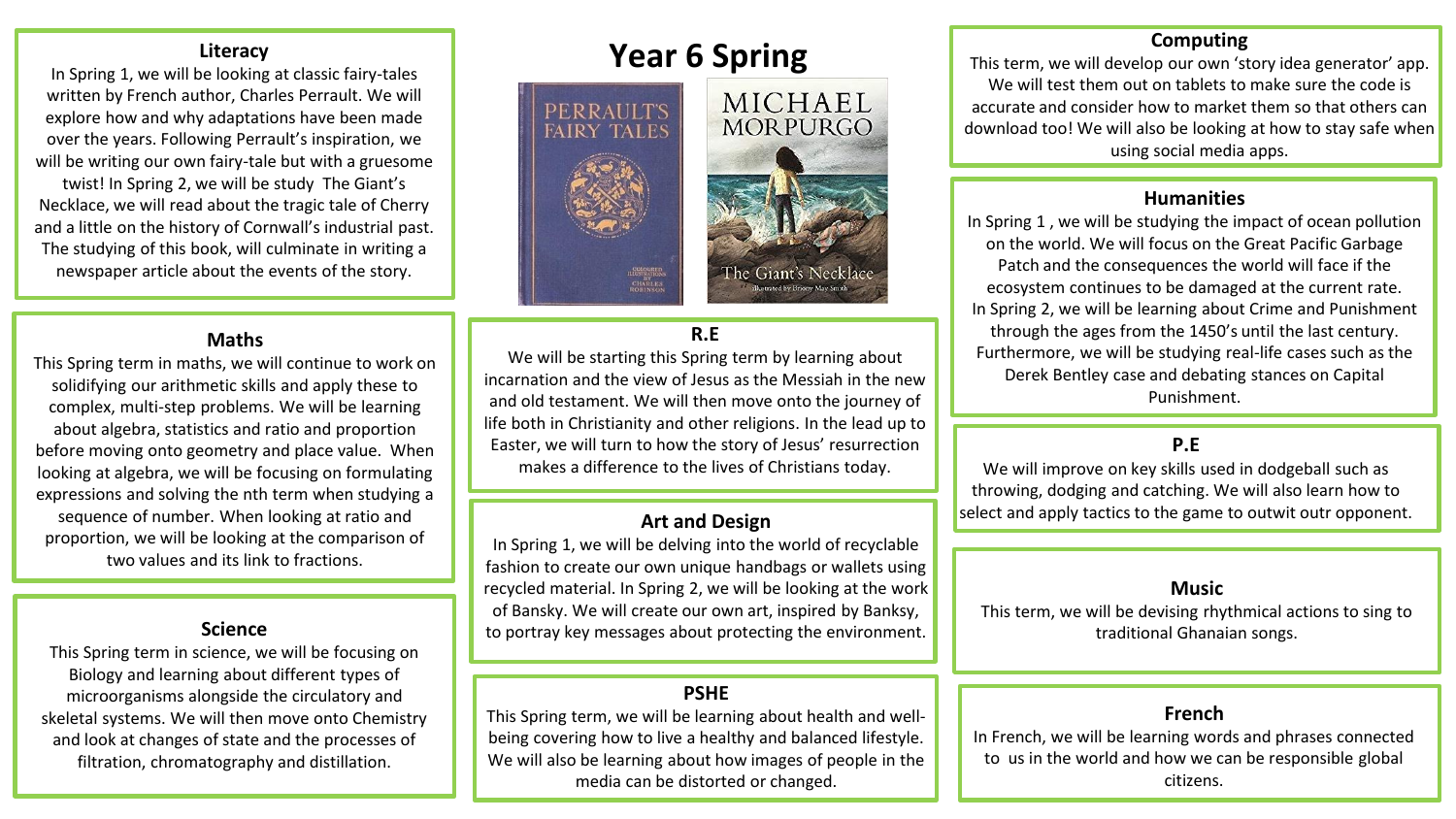In Spring 1, we will be looking at classic fairy-tales written by French author, Charles Perrault. We will explore how and why adaptations have been made over the years. Following Perrault's inspiration, we will be writing our own fairy-tale but with a gruesome twist! In Spring 2, we will be study The Giant's Necklace, we will read about the tragic tale of Cherry and a little on the history of Cornwall's industrial past. The studying of this book, will culminate in writing a newspaper article about the events of the story.

#### **Maths**

This Spring term in maths, we will continue to work on solidifying our arithmetic skills and apply these to complex, multi-step problems. We will be learning about algebra, statistics and ratio and proportion before moving onto geometry and place value. When looking at algebra, we will be focusing on formulating expressions and solving the nth term when studying a sequence of number. When looking at ratio and proportion, we will be looking at the comparison of two values and its link to fractions.

This Spring term in science, we will be focusing on Biology and learning about different types of microorganisms alongside the circulatory and skeletal systems. We will then move onto Chemistry and look at changes of state and the processes of filtration, chromatography and distillation.

# **Year 6 Spring**



# **R.E**

We will be starting this Spring term by learning about incarnation and the view of Jesus as the Messiah in the new and old testament. We will then move onto the journey of life both in Christianity and other religions. In the lead up to Easter, we will turn to how the story of Jesus' resurrection makes a difference to the lives of Christians today.

#### **Art and Design**

In Spring 1, we will be delving into the world of recyclable fashion to create our own unique handbags or wallets using recycled material. In Spring 2, we will be looking at the work of Bansky. We will create our own art, inspired by Banksy, **Science** to portray key messages about protecting the environment.

# **PSHE**

This Spring term, we will be learning about health and wellbeing covering how to live a healthy and balanced lifestyle. We will also be learning about how images of people in the media can be distorted or changed.

## **Computing**

This term, we will develop our own 'story idea generator' app. We will test them out on tablets to make sure the code is accurate and consider how to market them so that others can download too! We will also be looking at how to stay safe when using social media apps.

### **Humanities**

In Spring 1 , we will be studying the impact of ocean pollution on the world. We will focus on the Great Pacific Garbage Patch and the consequences the world will face if the ecosystem continues to be damaged at the current rate. In Spring 2, we will be learning about Crime and Punishment through the ages from the 1450's until the last century. Furthermore, we will be studying real-life cases such as the Derek Bentley case and debating stances on Capital Punishment.

### **P.E**

We will improve on key skills used in dodgeball such as throwing, dodging and catching. We will also learn how to select and apply tactics to the game to outwit outr opponent.

#### **Music**

This term, we will be devising rhythmical actions to sing to traditional Ghanaian songs.

#### **French**

In French, we will be learning words and phrases connected to us in the world and how we can be responsible global citizens.